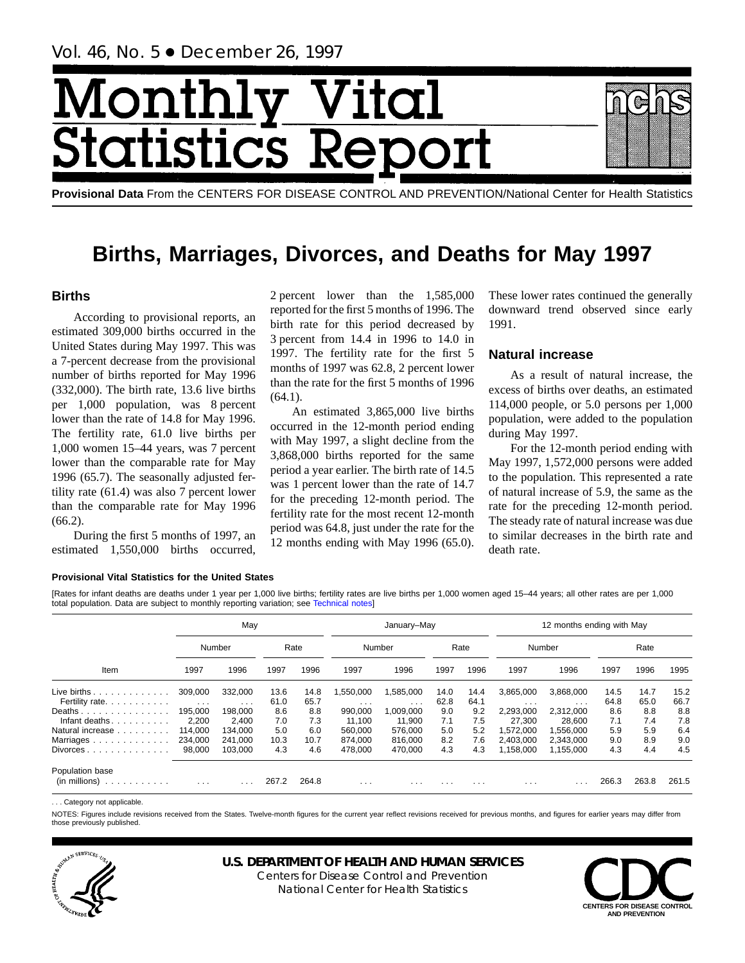# Monthl Vital tics R **itatist**

**Provisional Data** From the CENTERS FOR DISEASE CONTROL AND PREVENTION/National Center for Health Statistics

# **Births, Marriages, Divorces, and Deaths for May 1997**

## **Births**

According to provisional reports, an estimated 309,000 births occurred in the United States during May 1997. This was a 7-percent decrease from the provisional number of births reported for May 1996 (332,000). The birth rate, 13.6 live births per 1,000 population, was 8 percent lower than the rate of 14.8 for May 1996. The fertility rate, 61.0 live births per 1,000 women 15–44 years, was 7 percent lower than the comparable rate for May 1996 (65.7). The seasonally adjusted fertility rate (61.4) was also 7 percent lower than the comparable rate for May 1996 (66.2).

During the first 5 months of 1997, an estimated 1,550,000 births occurred,

2 percent lower than the 1,585,000 reported for the first 5 months of 1996. The birth rate for this period decreased by 3 percent from 14.4 in 1996 to 14.0 in 1997. The fertility rate for the first 5 months of 1997 was 62.8, 2 percent lower than the rate for the first 5 months of 1996  $(64.1).$ 

An estimated 3,865,000 live births occurred in the 12-month period ending with May 1997, a slight decline from the 3,868,000 births reported for the same period a year earlier. The birth rate of 14.5 was 1 percent lower than the rate of 14.7 for the preceding 12-month period. The fertility rate for the most recent 12-month period was 64.8, just under the rate for the 12 months ending with May 1996 (65.0). These lower rates continued the generally downward trend observed since early 1991.

# **Natural increase**

As a result of natural increase, the excess of births over deaths, an estimated 114,000 people, or 5.0 persons per 1,000 population, were added to the population during May 1997.

For the 12-month period ending with May 1997, 1,572,000 persons were added to the population. This represented a rate of natural increase of 5.9, the same as the rate for the preceding 12-month period. The steady rate of natural increase was due to similar decreases in the birth rate and death rate.

## **Provisional Vital Statistics for the United States**

[Rates for infant deaths are deaths under 1 year per 1,000 live bir[ths; fertility rates are liv](#page-16-0)e births per 1,000 women aged 15–44 years; all other rates are per 1,000 total population. Data are subject to monthly reporting variation; see Technical notes]

|                                       |                         | May                     |       |       |                         | January-May             |          |          |           | 12 months ending with May |       |       |       |
|---------------------------------------|-------------------------|-------------------------|-------|-------|-------------------------|-------------------------|----------|----------|-----------|---------------------------|-------|-------|-------|
|                                       | Number                  |                         |       | Rate  |                         | Number                  |          | Rate     |           | Number                    |       | Rate  |       |
| Item                                  | 1997                    | 1996                    | 1997  | 1996  | 1997                    | 1996                    | 1997     | 1996     | 1997      | 1996                      | 1997  | 1996  | 1995  |
| Live births $\ldots$                  | 309,000                 | 332.000                 | 13.6  | 14.8  | ,550,000                | 1,585,000               | 14.0     | 14.4     | 3,865,000 | 3,868,000                 | 14.5  | 14.7  | 15.2  |
| Fertility rate.                       | $\cdot$ $\cdot$ $\cdot$ | $\cdot$ $\cdot$ $\cdot$ | 61.0  | 65.7  | $\cdot$ $\cdot$ $\cdot$ | $\cdot$ $\cdot$ $\cdot$ | 62.8     | 64.1     | $\cdots$  | $\cdots$                  | 64.8  | 65.0  | 66.7  |
| Deaths                                | 195.000                 | 198.000                 | 8.6   | 8.8   | 990.000                 | 1,009,000               | 9.0      | 9.2      | 2.293.000 | 2,312,000                 | 8.6   | 8.8   | 8.8   |
| Infant deaths.<br>.                   | 2,200                   | 2.400                   | 7.0   | 7.3   | 11.100                  | 11.900                  | 7.1      | 7.5      | 27,300    | 28.600                    | 7.1   | 7.4   | 7.8   |
| Natural increase                      | 114.000                 | 134.000                 | 5.0   | 6.0   | 560.000                 | 576.000                 | 5.0      | 5.2      | 1.572.000 | 1.556.000                 | 5.9   | 5.9   | 6.4   |
| Marriages                             | 234,000                 | 241,000                 | 10.3  | 10.7  | 874.000                 | 816,000                 | 8.2      | 7.6      | 2,403,000 | 2,343,000                 | 9.0   | 8.9   | 9.0   |
| Divorces                              | 98,000                  | 103.000                 | 4.3   | 4.6   | 478.000                 | 470,000                 | 4.3      | 4.3      | 1,158,000 | 1,155,000                 | 4.3   | 4.4   | 4.5   |
| Population base<br>(in millions)<br>. | $\cdots$                | $\cdots$                | 267.2 | 264.8 | $\cdots$                | $\cdots$                | $\cdots$ | $\cdots$ | $\cdots$  | $\cdot$ $\cdot$ $\cdot$   | 266.3 | 263.8 | 261.5 |

... Category not applicable

NOTES: Figures include revisions received from the States. Twelve-month figures for the current year reflect revisions received for previous months, and figures for earlier years may differ from those previously published.



# **U.S. DEPARTMENT OF HEALTH AND HUMAN SERVICES**

Centers for Disease Control and Prevention National Center for Health Statistics

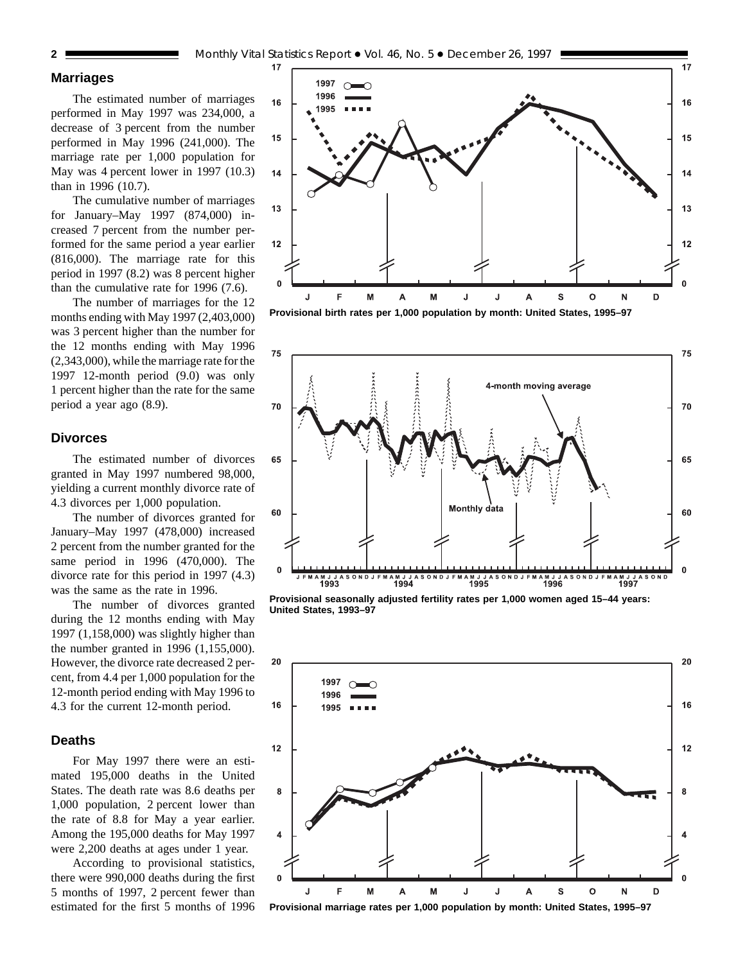## **Marriages**

The estimated number of marriages performed in May 1997 was 234,000, a decrease of 3 percent from the number performed in May 1996 (241,000). The marriage rate per 1,000 population for May was 4 percent lower in 1997 (10.3) than in 1996 (10.7).

The cumulative number of marriages for January–May 1997 (874,000) increased 7 percent from the number performed for the same period a year earlier (816,000). The marriage rate for this period in 1997 (8.2) was 8 percent higher than the cumulative rate for 1996 (7.6).

The number of marriages for the 12 months ending with May 1997 (2,403,000) was 3 percent higher than the number for the 12 months ending with May 1996 (2,343,000), while the marriage rate for the 1997 12-month period (9.0) was only 1 percent higher than the rate for the same period a year ago (8.9).

## **Divorces**

The estimated number of divorces granted in May 1997 numbered 98,000, yielding a current monthly divorce rate of 4.3 divorces per 1,000 population.

The number of divorces granted for January–May 1997 (478,000) increased 2 percent from the number granted for the same period in 1996 (470,000). The divorce rate for this period in 1997 (4.3) was the same as the rate in 1996.

The number of divorces granted during the 12 months ending with May 1997 (1,158,000) was slightly higher than the number granted in 1996 (1,155,000). However, the divorce rate decreased 2 percent, from 4.4 per 1,000 population for the 12-month period ending with May 1996 to 4.3 for the current 12-month period.

## **Deaths**

For May 1997 there were an estimated 195,000 deaths in the United States. The death rate was 8.6 deaths per 1,000 population, 2 percent lower than the rate of 8.8 for May a year earlier. Among the 195,000 deaths for May 1997 were 2,200 deaths at ages under 1 year.

According to provisional statistics, there were 990,000 deaths during the first 5 months of 1997, 2 percent fewer than estimated for the first 5 months of 1996



**Provisional birth rates per 1,000 population by month: United States, 1995–97**



**Provisional seasonally adjusted fertility rates per 1,000 women aged 15–44 years: United States, 1993–97**



**Provisional marriage rates per 1,000 population by month: United States, 1995–97**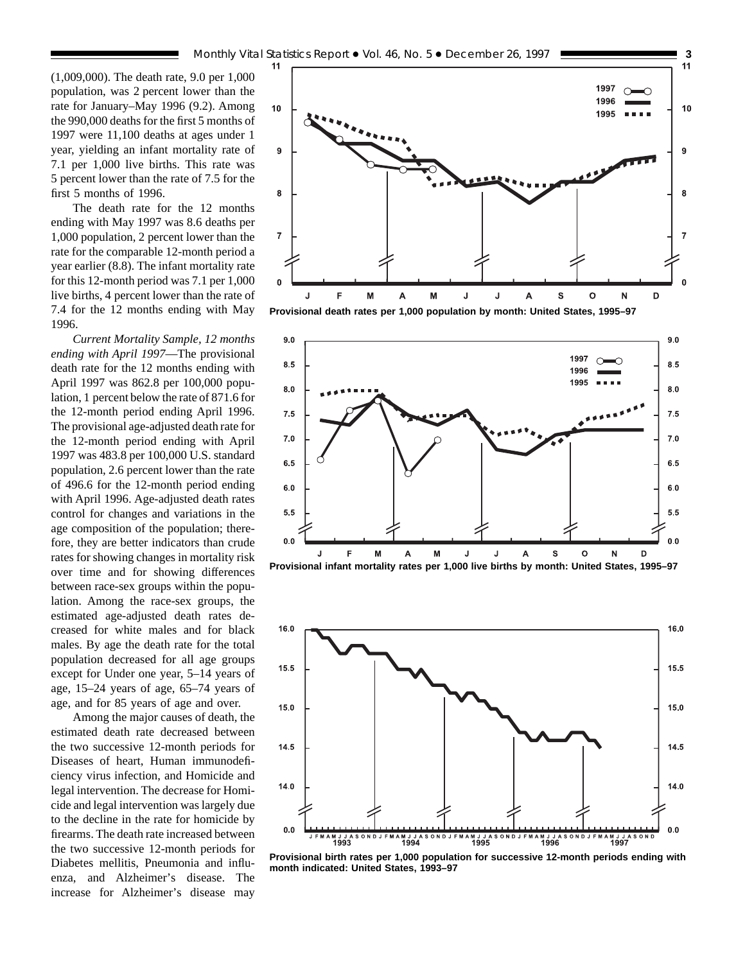(1,009,000). The death rate, 9.0 per 1,000 population, was 2 percent lower than the rate for January–May 1996 (9.2). Among the 990,000 deaths for the first 5 months of 1997 were 11,100 deaths at ages under 1 year, yielding an infant mortality rate of 7.1 per 1,000 live births. This rate was 5 percent lower than the rate of 7.5 for the first 5 months of 1996.

The death rate for the 12 months ending with May 1997 was 8.6 deaths per 1,000 population, 2 percent lower than the rate for the comparable 12-month period a year earlier (8.8). The infant mortality rate for this 12-month period was 7.1 per 1,000 live births, 4 percent lower than the rate of 7.4 for the 12 months ending with May 1996.

*Current Mortality Sample, 12 months ending with April 1997*—The provisional death rate for the 12 months ending with April 1997 was 862.8 per 100,000 population, 1 percent below the rate of 871.6 for the 12-month period ending April 1996. The provisional age-adjusted death rate for the 12-month period ending with April 1997 was 483.8 per 100,000 U.S. standard population, 2.6 percent lower than the rate of 496.6 for the 12-month period ending with April 1996. Age-adjusted death rates control for changes and variations in the age composition of the population; therefore, they are better indicators than crude rates for showing changes in mortality risk over time and for showing differences between race-sex groups within the population. Among the race-sex groups, the estimated age-adjusted death rates decreased for white males and for black males. By age the death rate for the total population decreased for all age groups except for Under one year, 5–14 years of age, 15–24 years of age, 65–74 years of age, and for 85 years of age and over.

Among the major causes of death, the estimated death rate decreased between the two successive 12-month periods for Diseases of heart, Human immunodeficiency virus infection, and Homicide and legal intervention. The decrease for Homicide and legal intervention was largely due to the decline in the rate for homicide by firearms. The death rate increased between the two successive 12-month periods for Diabetes mellitis, Pneumonia and influenza, and Alzheimer's disease. The increase for Alzheimer's disease may



**Provisional death rates per 1,000 population by month: United States, 1995–97**





**Provisional birth rates per 1,000 population for successive 12-month periods ending with month indicated: United States, 1993–97**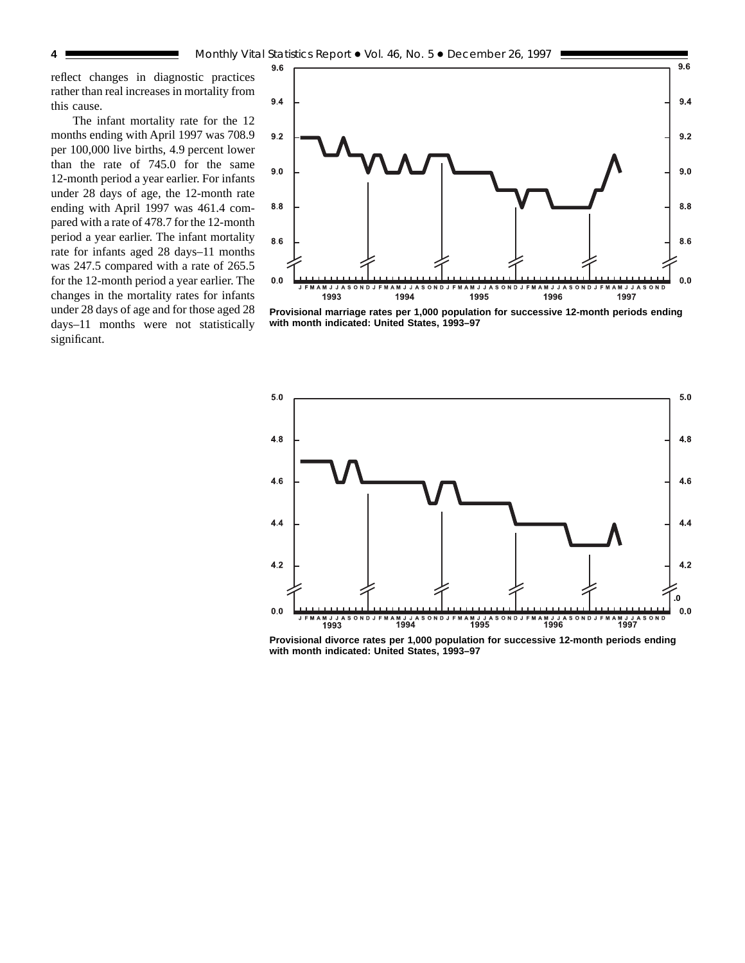reflect changes in diagnostic practices rather than real increases in mortality from this cause.

The infant mortality rate for the 12 months ending with April 1997 was 708.9 per 100,000 live births, 4.9 percent lower than the rate of 745.0 for the same 12-month period a year earlier. For infants under 28 days of age, the 12-month rate ending with April 1997 was 461.4 compared with a rate of 478.7 for the 12-month period a year earlier. The infant mortality rate for infants aged 28 days–11 months was 247.5 compared with a rate of 265.5 for the 12-month period a year earlier. The changes in the mortality rates for infants under 28 days of age and for those aged 28 days–11 months were not statistically significant.



**Provisional marriage rates per 1,000 population for successive 12-month periods ending with month indicated: United States, 1993–97**



**Provisional divorce rates per 1,000 population for successive 12-month periods ending with month indicated: United States, 1993–97**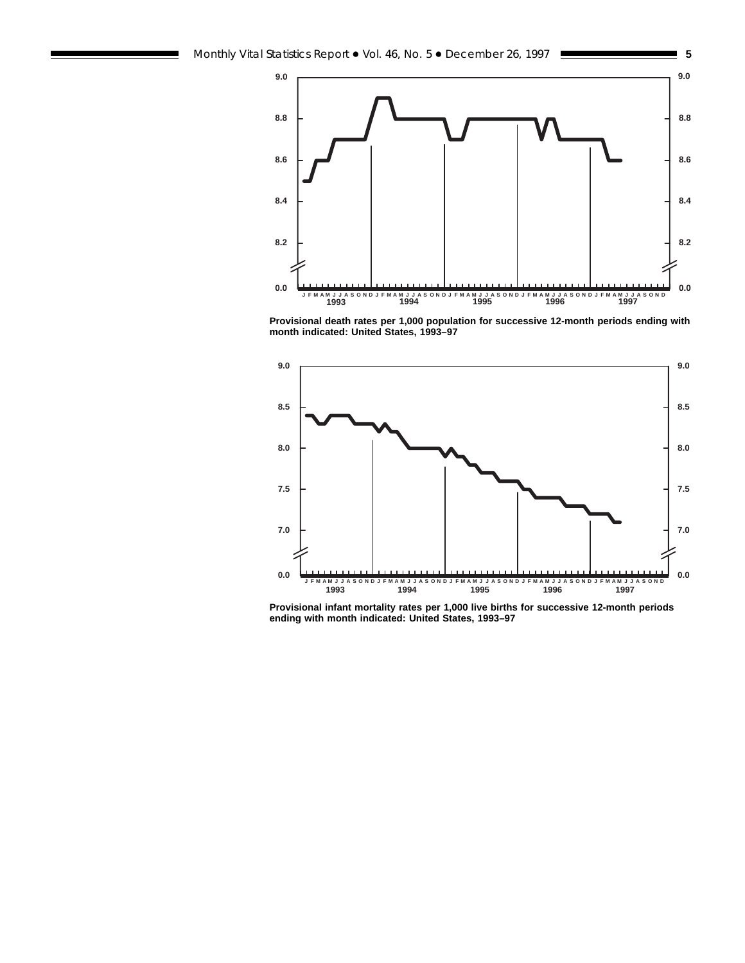

**Provisional death rates per 1,000 population for successive 12-month periods ending with month indicated: United States, 1993–97**



**Provisional infant mortality rates per 1,000 live births for successive 12-month periods ending with month indicated: United States, 1993–97**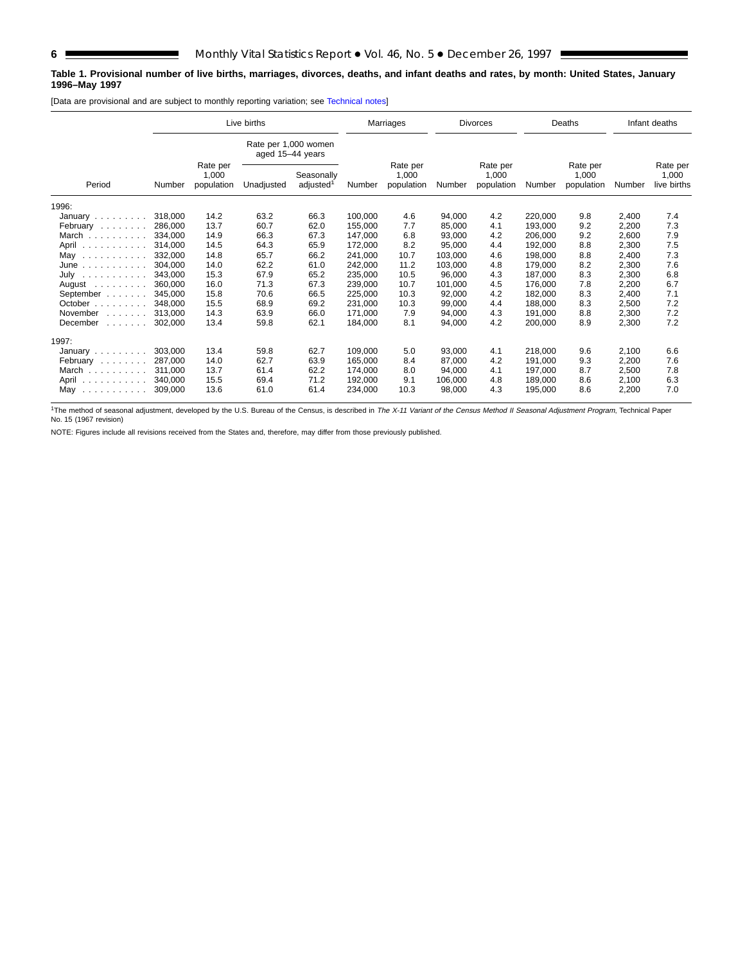## **Table 1. Provisional number of live births, marriages, divorces, deaths, and infant deaths and rates, by month: United States, January 1996–May 1997**

[Data are provisional and are subject to monthly reporting variation; see [Technical notes\]](#page-16-0)

|                                                                   |         | Live births                     |                  |                                     |         | Marriages                       |         | <b>Divorces</b>                 |         | Deaths                          |        | Infant deaths                    |
|-------------------------------------------------------------------|---------|---------------------------------|------------------|-------------------------------------|---------|---------------------------------|---------|---------------------------------|---------|---------------------------------|--------|----------------------------------|
|                                                                   |         |                                 | aged 15-44 years | Rate per 1,000 women                |         |                                 |         |                                 |         |                                 |        |                                  |
| Period                                                            | Number  | Rate per<br>1,000<br>population | Unadjusted       | Seasonally<br>adjusted <sup>1</sup> | Number  | Rate per<br>1,000<br>population | Number  | Rate per<br>1,000<br>population | Number  | Rate per<br>1,000<br>population | Number | Rate per<br>1,000<br>live births |
| 1996:                                                             |         |                                 |                  |                                     |         |                                 |         |                                 |         |                                 |        |                                  |
| January $\ldots$ , $\ldots$                                       | 318,000 | 14.2                            | 63.2             | 66.3                                | 100.000 | 4.6                             | 94,000  | 4.2                             | 220,000 | 9.8                             | 2,400  | 7.4                              |
| February                                                          | 286.000 | 13.7                            | 60.7             | 62.0                                | 155,000 | 7.7                             | 85,000  | 4.1                             | 193,000 | 9.2                             | 2,200  | 7.3                              |
| March                                                             | 334.000 | 14.9                            | 66.3             | 67.3                                | 147.000 | 6.8                             | 93.000  | 4.2                             | 206.000 | 9.2                             | 2,600  | 7.9                              |
| April<br>$\sim$ 100 km s $\sim$ 100 km s $\sim$ 100 km s $^{-1}$  | 314.000 | 14.5                            | 64.3             | 65.9                                | 172,000 | 8.2                             | 95.000  | 4.4                             | 192,000 | 8.8                             | 2,300  | 7.5                              |
| May $\ldots$                                                      | 332.000 | 14.8                            | 65.7             | 66.2                                | 241.000 | 10.7                            | 103,000 | 4.6                             | 198.000 | 8.8                             | 2,400  | 7.3                              |
| June $\ldots$                                                     | 304,000 | 14.0                            | 62.2             | 61.0                                | 242,000 | 11.2                            | 103,000 | 4.8                             | 179,000 | 8.2                             | 2,300  | 7.6                              |
| July<br>.                                                         | 343.000 | 15.3                            | 67.9             | 65.2                                | 235.000 | 10.5                            | 96.000  | 4.3                             | 187.000 | 8.3                             | 2,300  | 6.8                              |
| August $\ldots$ ,                                                 | 360,000 | 16.0                            | 71.3             | 67.3                                | 239.000 | 10.7                            | 101.000 | 4.5                             | 176.000 | 7.8                             | 2,200  | 6.7                              |
| September                                                         | 345.000 | 15.8                            | 70.6             | 66.5                                | 225,000 | 10.3                            | 92,000  | 4.2                             | 182.000 | 8.3                             | 2,400  | 7.1                              |
| October $\ldots$ , $\ldots$                                       | 348,000 | 15.5                            | 68.9             | 69.2                                | 231.000 | 10.3                            | 99.000  | 4.4                             | 188.000 | 8.3                             | 2,500  | 7.2                              |
| November<br>$\mathbb{Z}^2$ . The set of the set of $\mathbb{Z}^2$ | 313.000 | 14.3                            | 63.9             | 66.0                                | 171,000 | 7.9                             | 94,000  | 4.3                             | 191,000 | 8.8                             | 2,300  | 7.2                              |
| December<br>and a straight                                        | 302.000 | 13.4                            | 59.8             | 62.1                                | 184,000 | 8.1                             | 94,000  | 4.2                             | 200,000 | 8.9                             | 2,300  | 7.2                              |
| 1997:                                                             |         |                                 |                  |                                     |         |                                 |         |                                 |         |                                 |        |                                  |
| January $\ldots \ldots \ldots$                                    | 303,000 | 13.4                            | 59.8             | 62.7                                | 109,000 | 5.0                             | 93,000  | 4.1                             | 218,000 | 9.6                             | 2,100  | 6.6                              |
| February                                                          | 287.000 | 14.0                            | 62.7             | 63.9                                | 165.000 | 8.4                             | 87.000  | 4.2                             | 191.000 | 9.3                             | 2,200  | 7.6                              |
| March                                                             | 311.000 | 13.7                            | 61.4             | 62.2                                | 174,000 | 8.0                             | 94,000  | 4.1                             | 197.000 | 8.7                             | 2,500  | 7.8                              |
| April                                                             | 340.000 | 15.5                            | 69.4             | 71.2                                | 192,000 | 9.1                             | 106.000 | 4.8                             | 189.000 | 8.6                             | 2,100  | 6.3                              |
| Mav                                                               | 309,000 | 13.6                            | 61.0             | 61.4                                | 234,000 | 10.3                            | 98,000  | 4.3                             | 195.000 | 8.6                             | 2,200  | 7.0                              |

<sup>1</sup>The method of seasonal adjustment, developed by the U.S. Bureau of the Census, is described in The X-11 Variant of the Census Method II Seasonal Adjustment Program, Technical Paper No. 15 (1967 revision)

NOTE: Figures include all revisions received from the States and, therefore, may differ from those previously published.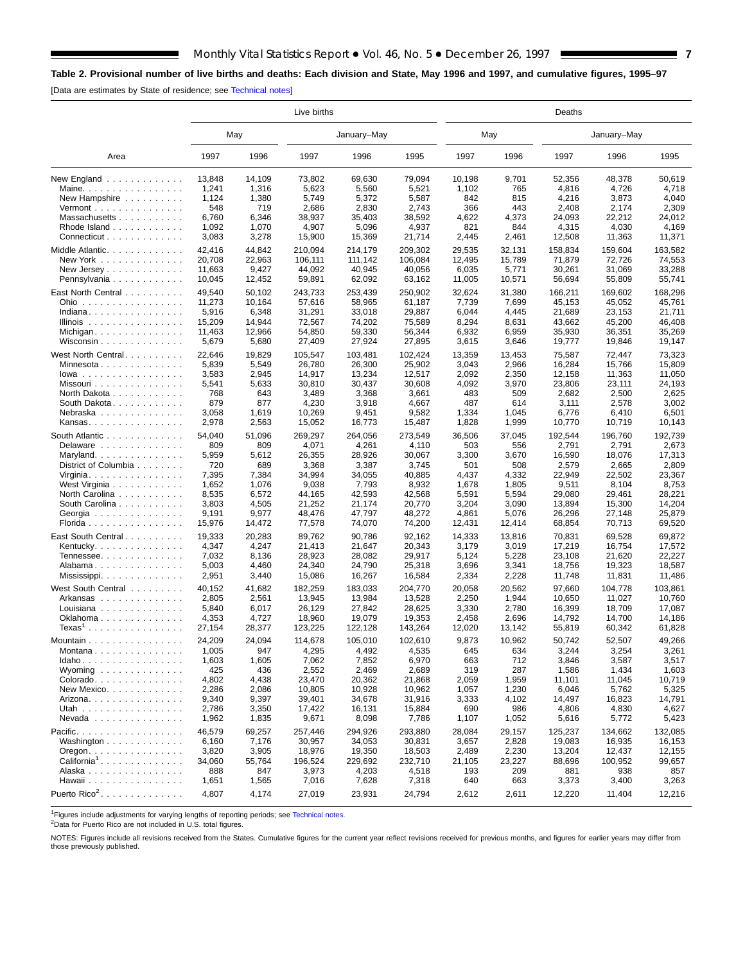# <span id="page-6-0"></span>**Table 2. Provisional number of live births and deaths: Each division and State, May 1996 and 1997, and cumulative figures, 1995–97**

[Data are estimates by State of residence; see [Technical notes\]](#page-16-0)

E

|                                                    | Live births     |                 |                   |                   |                   |                 | Deaths         |                  |                   |                   |  |  |  |  |
|----------------------------------------------------|-----------------|-----------------|-------------------|-------------------|-------------------|-----------------|----------------|------------------|-------------------|-------------------|--|--|--|--|
|                                                    |                 | May             |                   | January-May       |                   | May             |                |                  | January-May       |                   |  |  |  |  |
| Area                                               | 1997            | 1996            | 1997              | 1996              | 1995              | 1997            | 1996           | 1997             | 1996              | 1995              |  |  |  |  |
| New England $\ldots$<br>Maine.                     | 13,848<br>1,241 | 14,109<br>1,316 | 73,802<br>5,623   | 69,630<br>5,560   | 79,094<br>5,521   | 10,198<br>1,102 | 9,701<br>765   | 52,356<br>4,816  | 48,378<br>4,726   | 50,619<br>4,718   |  |  |  |  |
| New Hampshire                                      | 1,124           | 1,380           | 5,749             | 5,372             | 5,587             | 842             | 815            | 4,216            | 3,873             | 4,040             |  |  |  |  |
| Vermont $\dots\dots\dots\dots\dots\dots$           | 548             | 719             | 2,686             | 2,830             | 2,743             | 366             | 443            | 2,408            | 2,174             | 2,309             |  |  |  |  |
| Massachusetts                                      | 6,760           | 6,346           | 38,937            | 35,403            | 38,592            | 4,622           | 4,373          | 24,093           | 22,212            | 24,012            |  |  |  |  |
| Rhode Island                                       | 1,092           | 1,070           | 4,907             | 5,096             | 4,937             | 821             | 844            | 4,315            | 4,030             | 4,169             |  |  |  |  |
| Connecticut                                        | 3,083           | 3,278           | 15,900            | 15,369            | 21,714            | 2,445           | 2,461          | 12,508           | 11,363            | 11,371            |  |  |  |  |
| Middle Atlantic                                    | 42,416          | 44,842          | 210,094           | 214,179           | 209,302           | 29,535          | 32,131         | 158,834          | 159,604           | 163,582           |  |  |  |  |
| New York                                           | 20,708          | 22,963          | 106,111           | 111,142           | 106,084           | 12,495          | 15,789         | 71,879           | 72,726            | 74,553            |  |  |  |  |
| New Jersey                                         | 11,663          | 9,427           | 44,092            | 40,945            | 40,056            | 6,035           | 5,771          | 30,261           | 31,069            | 33,288            |  |  |  |  |
| Pennsylvania                                       | 10,045          | 12,452          | 59,891            | 62,092            | 63,162            | 11,005          | 10,571         | 56,694           | 55,809            | 55,741            |  |  |  |  |
|                                                    |                 |                 |                   |                   |                   |                 |                |                  |                   |                   |  |  |  |  |
| East North Central                                 | 49,540          | 50,102          | 243,733           | 253,439           | 250,902           | 32,624          | 31,380         | 166,211          | 169,602           | 168,296           |  |  |  |  |
| Ohio                                               | 11,273          | 10,164          | 57,616            | 58,965            | 61,187            | 7,739           | 7,699          | 45,153           | 45,052            | 45,761            |  |  |  |  |
| Indiana                                            | 5,916           | 6,348           | 31,291            | 33,018            | 29,887            | 6,044           | 4,445          | 21,689           | 23,153            | 21,711            |  |  |  |  |
| Illinois $\ldots \ldots \ldots \ldots$             | 15,209          | 14,944          | 72,567            | 74,202            | 75,589            | 8,294           | 8,631          | 43,662           | 45,200            | 46,408            |  |  |  |  |
| Michigan                                           | 11,463          | 12,966          | 54,850            | 59,330            | 56,344            | 6,932           | 6,959          | 35,930           | 36,351            | 35,269            |  |  |  |  |
| Wisconsin                                          | 5,679           | 5,680           | 27,409            | 27,924            | 27,895            | 3,615           | 3,646          | 19,777           | 19,846            | 19,147            |  |  |  |  |
| West North Central                                 | 22,646          | 19,829          | 105,547           | 103,481           | 102,424           | 13,359          | 13,453         | 75,587           | 72,447            | 73,323            |  |  |  |  |
| Minnesota                                          | 5,839           | 5,549           | 26.780            | 26,300            | 25,902            | 3,043           | 2,966          | 16,284           | 15,766            | 15,809            |  |  |  |  |
| $lowa \dots \dots \dots \dots \dots \dots$         | 3,583           | 2,945           | 14,917            | 13,234            | 12,517            | 2,092           | 2,350          | 12,158           | 11,363            | 11,050            |  |  |  |  |
| Missouri                                           | 5,541           | 5,633           | 30,810            | 30,437            | 30,608            | 4,092           | 3,970          | 23.806           | 23,111            | 24,193            |  |  |  |  |
| North Dakota                                       | 768             | 643             | 3,489             | 3,368             | 3,661             | 483             | 509            | 2,682            | 2,500             | 2,625             |  |  |  |  |
| South Dakota                                       | 879             | 877             | 4,230             | 3,918             | 4,667             | 487             | 614            | 3,111            | 2,578             | 3,002             |  |  |  |  |
| Nebraska                                           | 3,058           | 1,619           | 10,269            | 9,451             | 9,582             | 1,334           | 1,045          | 6,776            | 6,410             | 6,501             |  |  |  |  |
| Kansas                                             | 2,978           | 2,563           | 15,052            | 16,773            | 15,487            | 1,828           | 1,999          | 10,770           | 10,719            | 10,143            |  |  |  |  |
| South Atlantic                                     | 54,040          | 51,096          | 269,297           | 264,056           | 273,549           | 36,506          | 37,045         | 192,544          | 196.760           | 192,739           |  |  |  |  |
| Delaware                                           | 809             | 809             | 4,071             | 4,261             | 4,110             | 503             | 556            | 2,791            | 2,791             | 2,673             |  |  |  |  |
| Maryland                                           | 5,959           | 5,612           | 26,355            | 28,926            | 30,067            | 3,300           | 3,670          | 16,590           | 18,076            | 17,313            |  |  |  |  |
| District of Columbia                               | 720             | 689             | 3,368             | 3,387             | 3,745             | 501             | 508            | 2,579            | 2,665             | 2,809             |  |  |  |  |
| Virginia                                           | 7,395           | 7,384           | 34,994            | 34,055            | 40,885            | 4,437           | 4,332          | 22,949           | 22,502            | 23,367            |  |  |  |  |
| West Virginia                                      | 1,652           | 1,076           | 9,038             | 7,793             | 8,932             | 1,678           | 1,805          | 9,511            | 8,104             | 8,753             |  |  |  |  |
| North Carolina                                     | 8,535           | 6,572           | 44,165            | 42,593            | 42,568            | 5,591           | 5,594          | 29,080           | 29,461            | 28,221            |  |  |  |  |
| South Carolina                                     | 3,803           | 4,505           | 21,252            | 21,174            | 20,770            | 3,204           | 3,090          | 13,894           | 15,300            | 14,204            |  |  |  |  |
| Georgia                                            | 9,191           | 9,977           | 48,476            | 47,797            | 48,272            | 4,861           | 5,076          | 26,296           | 27,148            | 25,879            |  |  |  |  |
| Florida                                            | 15,976          | 14,472          | 77,578            | 74,070            | 74,200            | 12,431          | 12,414         | 68,854           | 70,713            | 69,520            |  |  |  |  |
| East South Central                                 | 19,333          | 20,283          | 89,762            | 90,786            | 92,162            | 14,333          | 13,816         | 70,831           | 69,528            | 69,872            |  |  |  |  |
| Kentucky.                                          | 4,347           | 4,247           | 21,413            | 21,647            | 20,343            | 3,179           | 3,019          | 17,219           | 16,754            | 17,572            |  |  |  |  |
| Tennessee                                          | 7,032           | 8,136           | 28,923            | 28,082            | 29,917            | 5,124           | 5,228          | 23,108           | 21,620            | 22,227            |  |  |  |  |
| Alabama                                            | 5,003           | 4,460           | 24,340            | 24,790            | 25,318            | 3,696           | 3,341          | 18,756           | 19,323            | 18,587            |  |  |  |  |
| Mississippi                                        | 2,951           | 3,440           | 15,086            | 16,267            | 16,584            | 2,334           | 2,228          | 11,748           | 11,831            | 11,486            |  |  |  |  |
|                                                    |                 |                 |                   |                   |                   |                 |                |                  |                   |                   |  |  |  |  |
| West South Central                                 | 40,152<br>2,805 | 41,682          | 182,259<br>13,945 | 183,033<br>13,984 | 204,770<br>13,528 | 20,058<br>2,250 | 20,562         | 97,660           | 104,778<br>11,027 | 103,861<br>10,760 |  |  |  |  |
| Arkansas<br>Louisiana                              | 5,840           | 2,561<br>6,017  | 26,129            | 27,842            | 28,625            | 3,330           | 1,944<br>2,780 | 10,650<br>16,399 | 18,709            | 17,087            |  |  |  |  |
| Oklahoma                                           | 4,353           | 4,727           | 18,960            | 19,079            | 19,353            | 2,458           | 2,696          | 14,792           | 14,700            | 14,186            |  |  |  |  |
| $\textsf{Texas}^1$                                 | 27,154          | 28,377          | 123,225           | 122,128           | 143,264           | 12,020          | 13,142         | 55,819           | 60,342            | 61,828            |  |  |  |  |
|                                                    |                 |                 |                   |                   |                   |                 |                |                  |                   |                   |  |  |  |  |
| Mountain $\ldots$ , $\ldots$ , $\ldots$ , $\ldots$ | 24,209          | 24,094          | 114,678           | 105,010           | 102,610           | 9,873           | 10,962         | 50,742           | 52,507            | 49,266            |  |  |  |  |
| Montana                                            | 1,005           | 947             | 4,295             | 4,492             | 4,535             | 645             | 634            | 3,244            | 3,254             | 3,261             |  |  |  |  |
| $Idaho \ldots  \ldots $                            | 1,603           | 1,605           | 7,062             | 7,852             | 6,970             | 663             | 712            | 3,846            | 3,587             | 3,517             |  |  |  |  |
| Wyoming                                            | 425             | 436             | 2,552             | 2,469             | 2,689             | 319             | 287            | 1,586            | 1,434             | 1,603             |  |  |  |  |
| Colorado                                           | 4,802           | 4,438           | 23,470            | 20,362            | 21,868            | 2,059           | 1,959          | 11,101           | 11,045            | 10,719            |  |  |  |  |
| New Mexico                                         | 2,286           | 2,086           | 10,805            | 10,928            | 10,962            | 1,057           | 1,230          | 6,046            | 5,762             | 5,325             |  |  |  |  |
| Arizona. $\ldots$ .                                | 9,340           | 9,397           | 39,401            | 34,678            | 31,916            | 3,333           | 4,102          | 14,497           | 16,823            | 14,791            |  |  |  |  |
| Utah                                               | 2,786           | 3,350           | 17,422            | 16,131            | 15,884            | 690             | 986            | 4,806            | 4,830             | 4,627             |  |  |  |  |
| $N$ evada                                          | 1,962           | 1,835           | 9,671             | 8,098             | 7,786             | 1,107           | 1,052          | 5,616            | 5,772             | 5,423             |  |  |  |  |
| Pacific.                                           | 46,579          | 69,257          | 257,446           | 294.926           | 293,880           | 28,084          | 29,157         | 125,237          | 134,662           | 132,085           |  |  |  |  |
| Washington                                         | 6,160           | 7,176           | 30,957            | 34,053            | 30,831            | 3,657           | 2,828          | 19,083           | 16,935            | 16,153            |  |  |  |  |
| $O$ regon. $\ldots$ .                              | 3,820           | 3,905           | 18,976            | 19,350            | 18,503            | 2,489           | 2,230          | 13,204           | 12,437            | 12,155            |  |  |  |  |
| $California1$                                      | 34,060          | 55,764          | 196,524           | 229,692           | 232,710           | 21,105          | 23,227         | 88,696           | 100,952           | 99,657            |  |  |  |  |
| Alaska                                             | 888             | 847             | 3,973             | 4,203             | 4,518             | 193             | 209            | 881              | 938               | 857               |  |  |  |  |
| Hawaii                                             | 1,651           | 1,565           | 7,016             | 7,628             | 7,318             | 640             | 663            | 3,373            | 3,400             | 3,263             |  |  |  |  |
| Puerto Rico <sup>2</sup> .                         | 4,807           | 4,174           | 27,019            | 23,931            | 24,794            | 2,612           | 2,611          | 12,220           | 11,404            | 12,216            |  |  |  |  |
|                                                    |                 |                 |                   |                   |                   |                 |                |                  |                   |                   |  |  |  |  |

1Figures include adjustments for varying lengths of reporting periods; see [Technical notes.](#page-16-0)

<sup>2</sup>Data for Puerto Rico are not included in U.S. total figures.

NOTES: Figures include all revisions received from the States. Cumulative figures for the current year reflect revisions received for previous months, and figures for earlier years may differ from those previously published.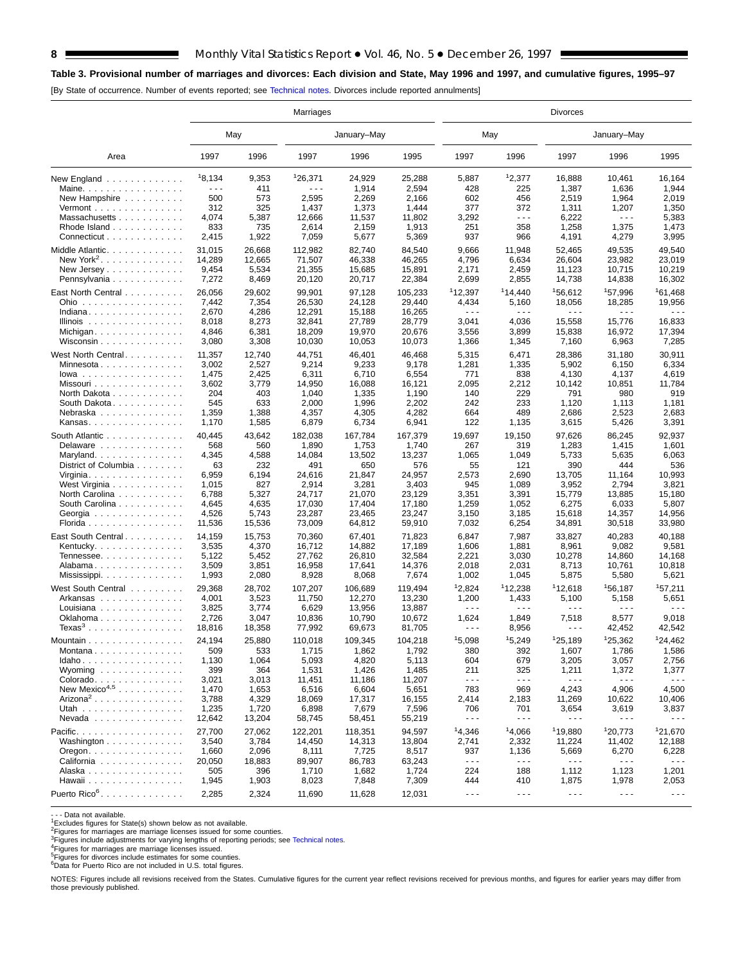## **Table 3. Provisional number of marriages an[d divorces: Each](#page-16-0) division and State, May 1996 and 1997, and cumulative figures, 1995–97**

[By State of occurrence. Number of events reported; see Technical notes. Divorces include reported annulments]

|                                                           | Marriages |        |         |             | <b>Divorces</b> |                      |                      |                      |                                                                                                                                                                                                                                                                                                                                                                                              |                      |  |  |
|-----------------------------------------------------------|-----------|--------|---------|-------------|-----------------|----------------------|----------------------|----------------------|----------------------------------------------------------------------------------------------------------------------------------------------------------------------------------------------------------------------------------------------------------------------------------------------------------------------------------------------------------------------------------------------|----------------------|--|--|
|                                                           |           | May    |         | January-May |                 | May                  |                      |                      | January-May                                                                                                                                                                                                                                                                                                                                                                                  |                      |  |  |
| Area                                                      | 1997      | 1996   | 1997    | 1996        | 1995            | 1997                 | 1996                 | 1997                 | 1996                                                                                                                                                                                                                                                                                                                                                                                         | 1995                 |  |  |
| New England                                               | 18,134    | 9,353  | 126,371 | 24,929      | 25,288          | 5,887                | 12,377               | 16,888               | 10,461                                                                                                                                                                                                                                                                                                                                                                                       | 16,164               |  |  |
| Maine.                                                    | .         | 411    | .       | 1,914       | 2,594           | 428                  | 225                  | 1,387                | 1,636                                                                                                                                                                                                                                                                                                                                                                                        | 1,944                |  |  |
| New Hampshire                                             | 500       | 573    | 2,595   | 2,269       | 2,166           | 602                  | 456                  | 2,519                | 1,964                                                                                                                                                                                                                                                                                                                                                                                        | 2,019                |  |  |
| Vermont $\dots\dots\dots\dots\dots\dots$                  | 312       | 325    | 1,437   | 1,373       | 1,444           | 377                  | 372                  | 1,311                | 1,207                                                                                                                                                                                                                                                                                                                                                                                        | 1,350                |  |  |
| Massachusetts                                             | 4,074     | 5,387  | 12,666  | 11,537      | 11,802          | 3,292                | $- - -$              | 6,222                | $- - -$                                                                                                                                                                                                                                                                                                                                                                                      | 5,383                |  |  |
| Rhode Island                                              | 833       | 735    | 2,614   | 2,159       | 1,913           | 251                  | 358                  | 1,258                | 1,375                                                                                                                                                                                                                                                                                                                                                                                        | 1,473                |  |  |
| Connecticut                                               | 2,415     | 1,922  | 7,059   | 5,677       | 5,369           | 937                  | 966                  | 4,191                | 4,279                                                                                                                                                                                                                                                                                                                                                                                        | 3,995                |  |  |
| Middle Atlantic.                                          | 31,015    | 26,668 | 112,982 | 82,740      | 84,540          | 9,666                | 11,948               | 52,465               | 49,535                                                                                                                                                                                                                                                                                                                                                                                       | 49,540               |  |  |
| New York <sup>2</sup> .                                   | 14,289    | 12.665 | 71,507  | 46,338      | 46,265          | 4,796                | 6,634                | 26,604               | 23,982                                                                                                                                                                                                                                                                                                                                                                                       | 23,019               |  |  |
| New Jersey                                                | 9,454     | 5,534  | 21,355  | 15,685      | 15,891          | 2,171                | 2,459                | 11,123               | 10,715                                                                                                                                                                                                                                                                                                                                                                                       | 10,219               |  |  |
| Pennsylvania                                              | 7,272     | 8,469  | 20,120  | 20,717      | 22,384          | 2,699                | 2,855                | 14,738               | 14,838                                                                                                                                                                                                                                                                                                                                                                                       | 16,302               |  |  |
|                                                           |           |        |         |             |                 |                      |                      |                      |                                                                                                                                                                                                                                                                                                                                                                                              |                      |  |  |
| East North Central                                        | 26,056    | 29,602 | 99,901  | 97,128      | 105,233         | 112,397              | 114,440              | <sup>1</sup> 56,612  | <sup>1</sup> 57,996                                                                                                                                                                                                                                                                                                                                                                          | <sup>1</sup> 61,468  |  |  |
| Ohio                                                      | 7,442     | 7,354  | 26,530  | 24,128      | 29,440          | 4,434                | 5,160                | 18,056               | 18,285                                                                                                                                                                                                                                                                                                                                                                                       | 19,956               |  |  |
| Indiana                                                   | 2,670     | 4,286  | 12,291  | 15,188      | 16,265          | $\sim$ $\sim$ $\sim$ | $\sim$ $\sim$ $\sim$ | $\sim$ $\sim$ $\sim$ | .                                                                                                                                                                                                                                                                                                                                                                                            | .                    |  |  |
| Illinois $\dots \dots \dots \dots$                        | 8,018     | 8,273  | 32,841  | 27,789      | 28,779          | 3,041                | 4,036                | 15,558               | 15,776                                                                                                                                                                                                                                                                                                                                                                                       | 16,833               |  |  |
| Michigan                                                  | 4,846     | 6,381  | 18,209  | 19,970      | 20,676          | 3,556                | 3,899                | 15,838               | 16,972                                                                                                                                                                                                                                                                                                                                                                                       | 17,394               |  |  |
| Wisconsin                                                 | 3,080     | 3,308  | 10,030  | 10,053      | 10,073          | 1,366                | 1,345                | 7,160                | 6,963                                                                                                                                                                                                                                                                                                                                                                                        | 7,285                |  |  |
| West North Central                                        | 11,357    | 12,740 | 44,751  | 46,401      | 46,468          | 5,315                | 6,471                | 28,386               | 31,180                                                                                                                                                                                                                                                                                                                                                                                       | 30,911               |  |  |
| Minnesota                                                 | 3,002     | 2,527  | 9,214   | 9,233       | 9,178           | 1,281                | 1,335                | 5,902                | 6,150                                                                                                                                                                                                                                                                                                                                                                                        | 6,334                |  |  |
| $lowa$                                                    | 1,475     | 2,425  | 6,311   | 6,710       | 6,554           | 771                  | 838                  | 4,130                | 4,137                                                                                                                                                                                                                                                                                                                                                                                        | 4,619                |  |  |
| Missouri                                                  | 3,602     | 3,779  | 14,950  | 16,088      | 16,121          | 2,095                | 2,212                | 10,142               | 10,851                                                                                                                                                                                                                                                                                                                                                                                       | 11,784               |  |  |
| North Dakota                                              | 204       | 403    | 1,040   | 1,335       | 1,190           | 140                  | 229                  | 791                  | 980                                                                                                                                                                                                                                                                                                                                                                                          | 919                  |  |  |
| South Dakota                                              | 545       | 633    | 2,000   | 1,996       | 2,202           | 242                  | 233                  | 1,120                | 1,113                                                                                                                                                                                                                                                                                                                                                                                        | 1,181                |  |  |
| Nebraska                                                  | 1,359     | 1,388  | 4,357   | 4,305       | 4,282           | 664                  | 489                  | 2,686                | 2,523                                                                                                                                                                                                                                                                                                                                                                                        | 2,683                |  |  |
| Kansas                                                    | 1,170     | 1,585  | 6,879   | 6,734       | 6,941           | 122                  | 1,135                | 3,615                | 5,426                                                                                                                                                                                                                                                                                                                                                                                        | 3,391                |  |  |
|                                                           |           |        |         |             |                 |                      |                      |                      |                                                                                                                                                                                                                                                                                                                                                                                              |                      |  |  |
| South Atlantic                                            | 40,445    | 43,642 | 182,038 | 167,784     | 167,379         | 19,697               | 19,150               | 97,626               | 86,245                                                                                                                                                                                                                                                                                                                                                                                       | 92,937               |  |  |
| Delaware                                                  | 568       | 560    | 1,890   | 1,753       | 1,740           | 267                  | 319                  | 1,283                | 1,415                                                                                                                                                                                                                                                                                                                                                                                        | 1,601                |  |  |
| Maryland                                                  | 4,345     | 4,588  | 14,084  | 13,502      | 13,237          | 1,065                | 1,049                | 5,733                | 5,635                                                                                                                                                                                                                                                                                                                                                                                        | 6,063                |  |  |
| District of Columbia                                      | 63        | 232    | 491     | 650         | 576             | 55                   | 121                  | 390                  | 444                                                                                                                                                                                                                                                                                                                                                                                          | 536                  |  |  |
| Virginia. $\ldots$ .                                      | 6,959     | 6,194  | 24,616  | 21,847      | 24,957          | 2,573                | 2,690                | 13,705               | 11,164                                                                                                                                                                                                                                                                                                                                                                                       | 10,993               |  |  |
| West Virginia                                             | 1,015     | 827    | 2,914   | 3,281       | 3,403           | 945                  | 1,089                | 3,952                | 2,794                                                                                                                                                                                                                                                                                                                                                                                        | 3,821                |  |  |
| North Carolina                                            | 6,788     | 5,327  | 24,717  | 21,070      | 23,129          | 3,351                | 3,391                | 15,779               | 13,885                                                                                                                                                                                                                                                                                                                                                                                       | 15,180               |  |  |
| South Carolina                                            | 4,645     | 4,635  | 17,030  | 17,404      | 17,180          | 1,259                | 1,052                | 6,275                | 6,033                                                                                                                                                                                                                                                                                                                                                                                        | 5,807                |  |  |
| Georgia                                                   | 4,526     | 5,743  | 23,287  | 23,465      | 23,247          | 3,150                | 3,185                | 15,618               | 14,357                                                                                                                                                                                                                                                                                                                                                                                       | 14,956               |  |  |
| Florida                                                   | 11,536    | 15,536 | 73,009  | 64,812      | 59,910          | 7,032                | 6,254                | 34,891               | 30,518                                                                                                                                                                                                                                                                                                                                                                                       | 33,980               |  |  |
| East South Central.                                       | 14,159    | 15,753 | 70,360  | 67,401      | 71,823          | 6,847                | 7,987                | 33,827               | 40,283                                                                                                                                                                                                                                                                                                                                                                                       | 40,188               |  |  |
| Kentucky. $\ldots$ .                                      | 3,535     | 4,370  | 16,712  | 14,882      | 17,189          | 1,606                | 1,881                | 8,961                | 9,082                                                                                                                                                                                                                                                                                                                                                                                        | 9,581                |  |  |
| Tennessee                                                 | 5,122     | 5,452  | 27,762  | 26,810      | 32,584          | 2,221                | 3,030                | 10,278               | 14,860                                                                                                                                                                                                                                                                                                                                                                                       | 14,168               |  |  |
| Alabama                                                   | 3,509     | 3,851  | 16,958  | 17,641      | 14,376          | 2,018                | 2,031                | 8,713                | 10,761                                                                                                                                                                                                                                                                                                                                                                                       | 10,818               |  |  |
| Mississippi                                               | 1,993     | 2,080  | 8,928   | 8,068       | 7,674           | 1,002                | 1,045                | 5,875                | 5,580                                                                                                                                                                                                                                                                                                                                                                                        | 5,621                |  |  |
|                                                           |           |        |         |             |                 |                      |                      |                      |                                                                                                                                                                                                                                                                                                                                                                                              |                      |  |  |
| West South Central                                        | 29,368    | 28,702 | 107,207 | 106,689     | 119,494         | 12,824               | 112,238              | 112,618              | <sup>1</sup> 56,187                                                                                                                                                                                                                                                                                                                                                                          | 157,211              |  |  |
| Arkansas                                                  | 4,001     | 3,523  | 11,750  | 12,270      | 13,230          | 1,200                | 1,433                | 5,100                | 5,158                                                                                                                                                                                                                                                                                                                                                                                        | 5,651                |  |  |
| Louisiana                                                 | 3,825     | 3,774  | 6,629   | 13,956      | 13,887          | $\sim$ $\sim$ $\sim$ | $- - -$              | $\sim$ $\sim$ $\sim$ | .                                                                                                                                                                                                                                                                                                                                                                                            | .                    |  |  |
| Oklahoma                                                  | 2,726     | 3,047  | 10,836  | 10,790      | 10,672          | 1,624                | 1,849                | 7,518                | 8,577                                                                                                                                                                                                                                                                                                                                                                                        | 9,018                |  |  |
| Texas $3 \ldots \ldots \ldots \ldots$                     | 18,816    | 18,358 | 77,992  | 69,673      | 81,705          | $\sim$ $\sim$ $\sim$ | 8,956                | $  -$                | 42,452                                                                                                                                                                                                                                                                                                                                                                                       | 42,542               |  |  |
| Mountain                                                  | 24,194    | 25,880 | 110,018 | 109,345     | 104,218         | 15,098               | 15,249               | 125,189              | 125,362                                                                                                                                                                                                                                                                                                                                                                                      | 124,462              |  |  |
| Montana                                                   | 509       | 533    | 1,715   | 1,862       | 1,792           | 380                  | 392                  | 1,607                | 1,786                                                                                                                                                                                                                                                                                                                                                                                        | 1,586                |  |  |
| Idaho                                                     | 1,130     | 1,064  | 5,093   | 4,820       | 5,113           | 604                  | 679                  | 3,205                | 3,057                                                                                                                                                                                                                                                                                                                                                                                        | 2,756                |  |  |
| Wyoming $\ldots \ldots \ldots \ldots$                     | 399       | 364    | 1,531   | 1,426       | 1,485           | 211                  | 325                  | 1,211                | 1,372                                                                                                                                                                                                                                                                                                                                                                                        | 1,377                |  |  |
| Colorado.                                                 | 3,021     | 3,013  | 11,451  | 11,186      | 11,207          | $\sim$ $\sim$ $\sim$ | $\sim$ $\sim$ $\sim$ | $\sim$ $\sim$ $\sim$ | $\sim$ $\sim$ $\sim$                                                                                                                                                                                                                                                                                                                                                                         | $\sim$ $\sim$ $\sim$ |  |  |
| New Mexico <sup>4,5</sup>                                 | 1,470     | 1,653  | 6,516   | 6,604       | 5,651           | 783                  | 969                  | 4,243                | 4,906                                                                                                                                                                                                                                                                                                                                                                                        | 4,500                |  |  |
| Arizona <sup>2</sup>                                      | 3,788     | 4,329  | 18,069  | 17,317      | 16,155          | 2,414                | 2,183                | 11,269               | 10,622                                                                                                                                                                                                                                                                                                                                                                                       | 10,406               |  |  |
| Utah                                                      | 1,235     | 1,720  | 6,898   | 7,679       | 7,596           | 706                  | 701                  | 3,654                | 3,619                                                                                                                                                                                                                                                                                                                                                                                        | 3,837                |  |  |
| Nevada                                                    | 12,642    | 13,204 | 58,745  | 58,451      | 55,219          | $\sim$ $\sim$ $\sim$ | $\sim$ $\sim$ $\sim$ | $\sim$ - $\sim$      | $\sim$ - $\sim$                                                                                                                                                                                                                                                                                                                                                                              | $- - -$              |  |  |
|                                                           |           |        |         |             |                 |                      |                      | <sup>1</sup> 19,880  |                                                                                                                                                                                                                                                                                                                                                                                              |                      |  |  |
| Pacific.                                                  | 27,700    | 27,062 | 122,201 | 118,351     | 94,597          | 14,346               | 14,066               |                      | 120,773                                                                                                                                                                                                                                                                                                                                                                                      | 121,670              |  |  |
| Washington $\ldots$ , $\ldots$ , $\ldots$ ,               | 3,540     | 3,784  | 14,450  | 14,313      | 13,804          | 2,741                | 2,332                | 11,224               | 11,402                                                                                                                                                                                                                                                                                                                                                                                       | 12,188               |  |  |
| $O$ regon. $\ldots$ $\ldots$ $\ldots$ $\ldots$ $\ldots$ . | 1,660     | 2,096  | 8,111   | 7,725       | 8,517           | 937                  | 1,136                | 5,669                | 6,270                                                                                                                                                                                                                                                                                                                                                                                        | 6,228                |  |  |
| California                                                | 20,050    | 18,883 | 89,907  | 86,783      | 63,243          | $\sim$ $\sim$ $\sim$ | $\sim$ $\sim$ $\sim$ | $- - -$              | $- - -$                                                                                                                                                                                                                                                                                                                                                                                      | $  -$                |  |  |
| Alaska                                                    | 505       | 396    | 1,710   | 1,682       | 1,724           | 224                  | 188                  | 1,112                | 1,123                                                                                                                                                                                                                                                                                                                                                                                        | 1,201                |  |  |
| Hawaii                                                    | 1,945     | 1,903  | 8,023   | 7,848       | 7,309           | 444                  | 410                  | 1,875                | 1,978                                                                                                                                                                                                                                                                                                                                                                                        | 2,053                |  |  |
| Puerto Rico <sup>6</sup> .                                | 2,285     | 2,324  | 11,690  | 11,628      | 12,031          | $\sim$ $\sim$ $\sim$ | $\sim$ $\sim$ $\sim$ | $\sim$ $\sim$ $\sim$ | $\frac{1}{2} \frac{1}{2} \frac{1}{2} \frac{1}{2} \frac{1}{2} \frac{1}{2} \frac{1}{2} \frac{1}{2} \frac{1}{2} \frac{1}{2} \frac{1}{2} \frac{1}{2} \frac{1}{2} \frac{1}{2} \frac{1}{2} \frac{1}{2} \frac{1}{2} \frac{1}{2} \frac{1}{2} \frac{1}{2} \frac{1}{2} \frac{1}{2} \frac{1}{2} \frac{1}{2} \frac{1}{2} \frac{1}{2} \frac{1}{2} \frac{1}{2} \frac{1}{2} \frac{1}{2} \frac{1}{2} \frac{$ | $\sim$ $\sim$ $\sim$ |  |  |

- - - Data not available.

1Excludes figures for State(s) shown below as not available. 2Figures for marriages are marriage licenses issued for some counties.

<sup>3</sup>Figures include adjustments for varying lengths of reporting periods; see [Technical notes.](#page-16-0)<br><sup>4</sup>Figures for marriages are marriage licenses issued.<br><sup>5</sup>Figures for divorces include estimates for some counties.<br><sup>6</sup>Data for

NOTES: Figures include all revisions received from the States. Cumulative figures for the current year reflect revisions received for previous months, and figures for earlier years may differ from those previously published.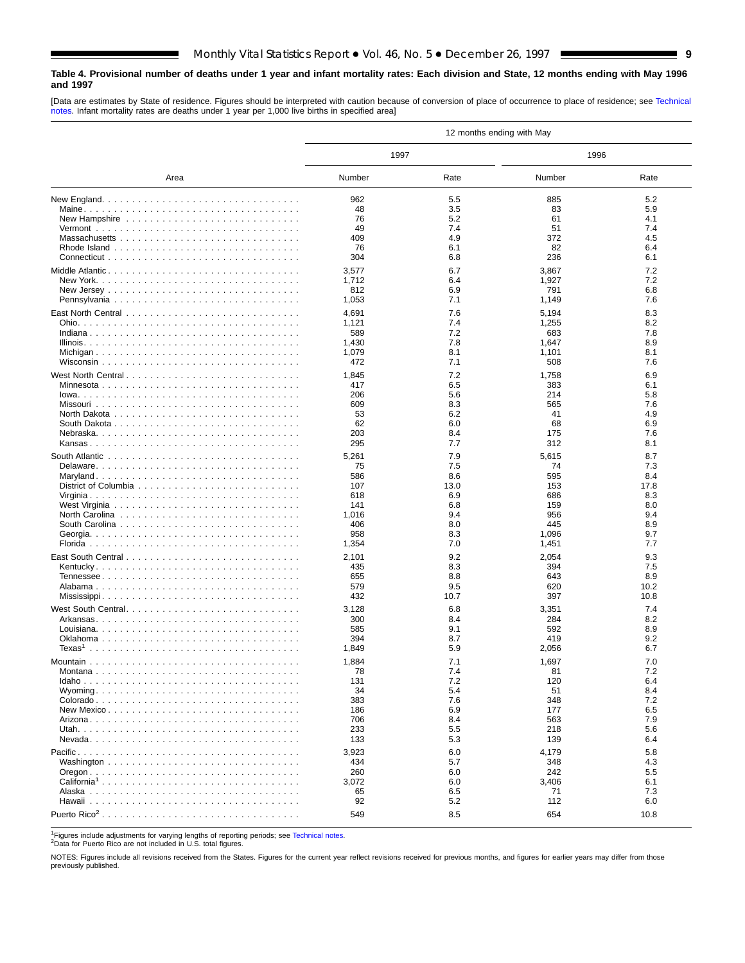## <span id="page-8-0"></span>**Table 4. Provisional number of deaths under 1 year and infant mortality rates: Each division and State, 12 months ending with May 1996 and 1997**

[Data are estimates by State of residence. Figures should be interpreted with caution because of conversion of place of occurrence to place of residence; see [Technical](#page-16-0) [notes. I](#page-16-0)nfant mortality rates are deaths under 1 year per 1,000 live births in specified area]

|                         |              |            | 12 months ending with May |            |
|-------------------------|--------------|------------|---------------------------|------------|
|                         | 1997         |            | 1996                      |            |
| Area                    | Number       | Rate       | Number                    | Rate       |
|                         | 962          | 5.5        | 885                       | 5.2        |
|                         | 48           | 3.5        | 83                        | 5.9        |
|                         | 76           | 5.2        | 61                        | 4.1        |
|                         | 49           | 7.4        | 51                        | 7.4        |
|                         | 409          | 4.9        | 372                       | 4.5        |
|                         | 76           | 6.1        | 82                        | 6.4        |
|                         | 304          | 6.8        | 236                       | 6.1        |
| Middle Atlantic         | 3,577        | 6.7        | 3,867                     | 7.2        |
|                         | 1,712        | 6.4        | 1,927                     | 7.2        |
|                         | 812          | 6.9        | 791                       | 6.8        |
|                         | 1,053        | 7.1        | 1,149                     | 7.6        |
|                         | 4,691        | 7.6        | 5,194                     | 8.3        |
|                         | 1,121        | 7.4        | 1,255                     | 8.2        |
|                         | 589          | 7.2        | 683                       | 7.8        |
|                         | 1,430        | 7.8<br>8.1 | 1,647                     | 8.9<br>8.1 |
|                         | 1,079<br>472 | 7.1        | 1,101<br>508              | 7.6        |
|                         |              |            |                           |            |
| West North Central      | 1,845        | 7.2        | 1,758                     | 6.9        |
|                         | 417          | 6.5        | 383                       | 6.1        |
|                         | 206<br>609   | 5.6<br>8.3 | 214<br>565                | 5.8<br>7.6 |
|                         | 53           | 6.2        | 41                        | 4.9        |
|                         | 62           | 6.0        | 68                        | 6.9        |
|                         | 203          | 8.4        | 175                       | 7.6        |
|                         | 295          | 7.7        | 312                       | 8.1        |
|                         | 5,261        | 7.9        | 5,615                     | 8.7        |
|                         | 75           | 7.5        | 74                        | 7.3        |
|                         | 586          | 8.6        | 595                       | 8.4        |
|                         | 107          | 13.0       | 153                       | 17.8       |
|                         | 618          | 6.9        | 686                       | 8.3        |
|                         | 141          | 6.8        | 159                       | 8.0        |
|                         | 1,016        | 9.4        | 956                       | 9.4        |
|                         | 406          | 8.0        | 445                       | 8.9        |
|                         | 958          | 8.3        | 1,096                     | 9.7        |
|                         | 1,354        | 7.0        | 1,451                     | 7.7        |
|                         | 2,101        | 9.2        | 2,054                     | 9.3        |
|                         | 435          | 8.3        | 394                       | 7.5        |
|                         | 655          | 8.8        | 643                       | 8.9        |
|                         | 579          | 9.5        | 620                       | 10.2       |
|                         | 432          | 10.7       | 397                       | 10.8       |
| West South Central      | 3,128        | 6.8        | 3,351                     | 7.4        |
|                         | 300          | 8.4        | 284                       | 8.2        |
|                         | 585          | 9.1        | 592                       | 8.9        |
|                         | 394          | 8.7        | 419                       | 9.2        |
|                         | 1,849        | 5.9        | 2,056                     | 6.7        |
|                         | 1,884        | 7.1        | 1,697                     | 7.0        |
|                         | 78           | $\sqrt{4}$ | 81                        | $\sim$     |
|                         | 131          | 7.2        | 120                       | 6.4        |
|                         | 34           | 5.4        | 51                        | 8.4        |
|                         | 383          | 7.6        | 348                       | 7.2<br>6.5 |
|                         | 186<br>706   | 6.9<br>8.4 | 177<br>563                | 7.9        |
|                         | 233          | 5.5        | 218                       | 5.6        |
|                         | 133          | 5.3        | 139                       | 6.4        |
|                         |              |            |                           |            |
|                         | 3,923<br>434 | 6.0<br>5.7 | 4,179<br>348              | 5.8<br>4.3 |
|                         | 260          | 6.0        | 242                       | 5.5        |
| California <sup>1</sup> | 3,072        | 6.0        | 3,406                     | 6.1        |
|                         | 65           | 6.5        | 71                        | 7.3        |
|                         | 92           | 5.2        | 112                       | 6.0        |
|                         | 549          | 8.5        | 654                       | 10.8       |
|                         |              |            |                           |            |

1Figures include adjustments for varying lengths of reporting periods; see [Technical notes.](#page-16-0)<br><sup>2</sup>Data for Puerto Rico are not included in U.S. total figures.

NOTES: Figures include all revisions received from the States. Figures for the current year reflect revisions received for previous months, and figures for earlier years may differ from those previously published.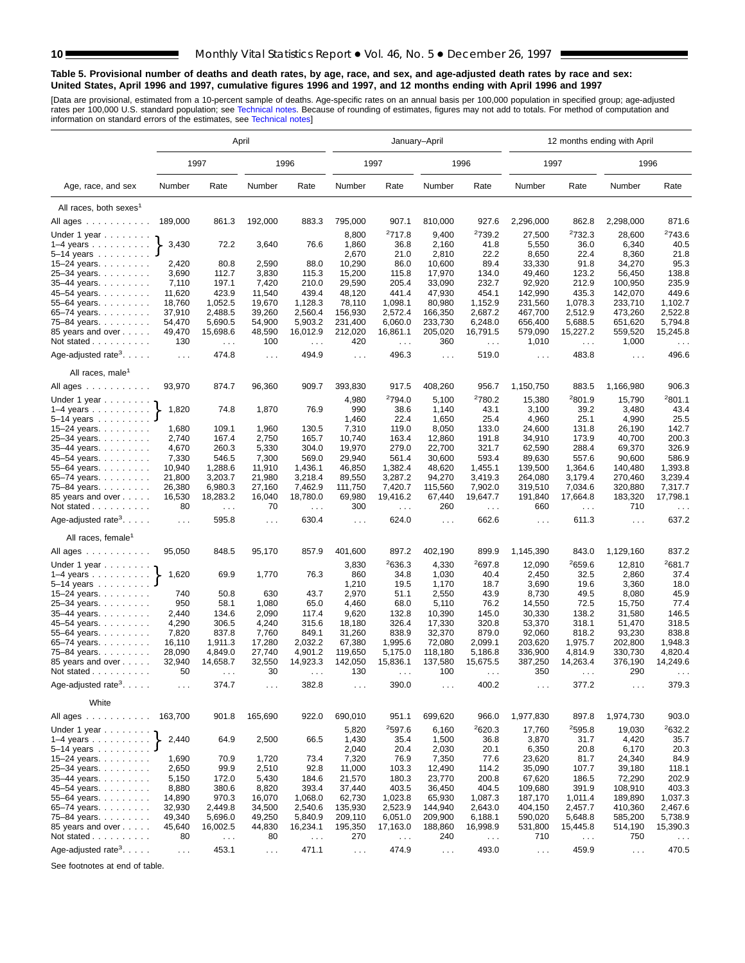#### **Table 5. Provisional number of deaths and death rates, by age, race, and sex, and age-adjusted death rates by race and sex: United States, April 1996 and 1997, cumulative figures 1996 and 1997, and 12 months ending with April 1996 and 1997**

[Data are provisional, estimated from a 10-p[ercent sample of deaths. A](#page-16-0)ge-specific rates on an annual basis per 100,000 population in specified group; age-adjusted<br>rates per 100,000 U.S. standard population; see Technical n

|                                             | April           |                  |                      |                      |                      |                    | January-April        |                      | 12 months ending with April |                    |                      |                                 |  |  |
|---------------------------------------------|-----------------|------------------|----------------------|----------------------|----------------------|--------------------|----------------------|----------------------|-----------------------------|--------------------|----------------------|---------------------------------|--|--|
|                                             |                 | 1997             |                      | 1996                 |                      | 1997               |                      | 1996                 | 1997                        |                    | 1996                 |                                 |  |  |
| Age, race, and sex                          | Number          | Rate             | Number               | Rate                 | Number               | Rate               | Number               | Rate                 | Number                      | Rate               | Number               | Rate                            |  |  |
| All races, both sexes <sup>1</sup>          |                 |                  |                      |                      |                      |                    |                      |                      |                             |                    |                      |                                 |  |  |
| All ages                                    | 189,000         | 861.3            | 192,000              | 883.3                | 795,000              | 907.1              | 810,000              | 927.6                | 2,296,000                   | 862.8              | 2,298,000            | 871.6                           |  |  |
| Under 1 year                                |                 |                  |                      |                      | 8,800                | 2717.8             | 9,400                | <sup>2</sup> 739.2   | 27,500                      | 2732.3             | 28,600               | 2743.6                          |  |  |
| $1-4$ years $\ldots$                        | 3,430           | 72.2             | 3,640                | 76.6                 | 1,860                | 36.8               | 2,160                | 41.8                 | 5,550                       | 36.0               | 6,340                | 40.5                            |  |  |
| $5 - 14$ years $\ldots$                     |                 |                  |                      |                      | 2,670                | 21.0               | 2,810                | 22.2                 | 8,650                       | 22.4               | 8,360                | 21.8                            |  |  |
| 15-24 years.                                | 2,420           | 80.8             | 2,590                | 88.0                 | 10,290               | 86.0               | 10,600               | 89.4                 | 33,330                      | 91.8               | 34,270               | 95.3                            |  |  |
| 25-34 years.                                | 3,690           | 112.7            | 3,830                | 115.3                | 15,200               | 115.8              | 17,970               | 134.0                | 49,460                      | 123.2              | 56,450               | 138.8                           |  |  |
| 35-44 years.                                | 7,110           | 197.1            | 7,420                | 210.0                | 29,590               | 205.4              | 33,090               | 232.7                | 92,920                      | 212.9              | 100,950              | 235.9                           |  |  |
| 45-54 years.                                | 11,620          | 423.9            | 11,540               | 439.4                | 48,120               | 441.4              | 47,930               | 454.1                | 142,990                     | 435.3              | 142,070              | 449.6                           |  |  |
| 55-64 years.                                | 18,760          | 1,052.5          | 19,670               | 1,128.3              | 78,110               | 1,098.1            | 80,980               | 1,152.9              | 231,560                     | 1,078.3            | 233,710              | 1,102.7                         |  |  |
| 65-74 years.                                | 37,910          | 2,488.5          | 39,260               | 2,560.4              | 156,930              | 2,572.4            | 166,350              | 2,687.2              | 467,700                     | 2,512.9            | 473,260              | 2,522.8                         |  |  |
| 75-84 years.                                | 54,470          | 5,690.5          | 54,900               | 5,903.2              | 231,400              | 6,060.0            | 233,730              | 6,248.0              | 656,400                     | 5,688.5            | 651,620              | 5,794.8                         |  |  |
| 85 years and over                           | 49,470          | 15,698.6         | 48,590               | 16,012.9             | 212,020              | 16,861.1           | 205,020              | 16,791.5             | 579,090                     | 15,227.2           | 559,520              | 15,245.8                        |  |  |
| Not stated                                  | 130             | $\sim 100$       | 100                  | $\ldots$             | 420                  | $\ldots$           | 360                  | $\sim$ $\sim$ $\sim$ | 1,010                       | $\sim 100$         | 1,000                | $\sim$ $\sim$                   |  |  |
| Age-adjusted rate <sup>3</sup> . $\ldots$ . | $\ldots$        | 474.8            | $\sim$ $\sim$ $\sim$ | 494.9                | $\sim 100$           | 496.3              | $\sim 100$           | 519.0                | $\sim$ $\sim$               | 483.8              | $\sim 100$           | 496.6                           |  |  |
| All races, male <sup>1</sup>                |                 |                  |                      |                      |                      |                    |                      |                      |                             |                    |                      |                                 |  |  |
| All ages                                    | 93,970          | 874.7            | 96,360               | 909.7                | 393,830              | 917.5              | 408,260              | 956.7                | 1,150,750                   | 883.5              | 1,166,980            | 906.3                           |  |  |
| Under 1 year $\ldots \ldots$                |                 |                  |                      |                      | 4,980                | <sup>2</sup> 794.0 | 5,100                | <sup>2</sup> 780.2   | 15,380                      | <sup>2</sup> 801.9 | 15,790               | 2801.1                          |  |  |
| $1-4$ years                                 | 1,820           | 74.8             | 1,870                | 76.9                 | 990                  | 38.6               | 1,140                | 43.1                 | 3,100                       | 39.2               | 3,480                | 43.4                            |  |  |
| 5-14 years                                  |                 |                  |                      |                      | 1,460                | 22.4               | 1,650                | 25.4                 | 4,960                       | 25.1               | 4,990                | 25.5                            |  |  |
| 15–24 years. $\ldots$                       | 1,680           | 109.1            | 1,960                | 130.5                | 7,310                | 119.0              | 8,050                | 133.0                | 24,600                      | 131.8              | 26,190               | 142.7                           |  |  |
| 25-34 years.                                | 2,740           | 167.4            | 2,750                | 165.7                | 10,740               | 163.4              | 12,860               | 191.8                | 34,910                      | 173.9              | 40,700               | 200.3                           |  |  |
| 35-44 years.                                | 4,670           | 260.3            | 5,330                | 304.0                | 19,970               | 279.0              | 22,700               | 321.7                | 62,590                      | 288.4              | 69,370               | 326.9                           |  |  |
| 45–54 years.                                | 7,330<br>10,940 | 546.5<br>1,288.6 | 7,300<br>11,910      | 569.0<br>1,436.1     | 29,940<br>46,850     | 561.4<br>1,382.4   | 30,600<br>48,620     | 593.4<br>1,455.1     | 89,630<br>139,500           | 557.6<br>1,364.6   | 90,600<br>140,480    | 586.9<br>1,393.8                |  |  |
| 55-64 years.<br>65-74 years.                | 21,800          | 3,203.7          | 21,980               | 3,218.4              | 89,550               | 3,287.2            | 94,270               | 3.419.3              | 264,080                     | 3,179.4            | 270,460              | 3,239.4                         |  |  |
| 75-84 years.                                | 26,380          | 6,980.3          | 27,160               | 7,462.9              | 111,750              | 7,420.7            | 115,560              | 7,902.0              | 319,510                     | 7,034.6            | 320,880              | 7,317.7                         |  |  |
| 85 years and over                           | 16,530          | 18,283.2         | 16,040               | 18,780.0             | 69,980               | 19,416.2           | 67,440               | 19,647.7             | 191,840                     | 17,664.8           | 183,320              | 17,798.1                        |  |  |
| Not stated                                  | 80              | $\sim$ .         | 70                   | $\sim$ $\sim$ $\sim$ | 300                  | $\sim$ $\sim$      | 260                  | $\sim$ $\sim$        | 660                         | $\sim 100$         | 710                  | $\sim$ $\sim$ $\sim$            |  |  |
| Age-adjusted rate <sup>3</sup> .            | $\ldots$        | 595.8            | $\ldots$             | 630.4                | $\sim$ $\sim$ $\sim$ | 624.0              | $\sim$ $\sim$ $\sim$ | 662.6                | $\sim 100$                  | 611.3              | $\sim$ $\sim$ $\sim$ | 637.2                           |  |  |
| All races, female                           |                 |                  |                      |                      |                      |                    |                      |                      |                             |                    |                      |                                 |  |  |
| All ages                                    | 95,050          | 848.5            | 95,170               | 857.9                | 401,600              | 897.2              | 402,190              | 899.9                | 1,145,390                   | 843.0              | 1,129,160            | 837.2                           |  |  |
| Under 1 year                                |                 |                  |                      |                      | 3,830                | <sup>2</sup> 636.3 | 4,330                | 2697.8               | 12,090                      | 2659.6             | 12,810               | <sup>2</sup> 681.7              |  |  |
| $1-4$ years                                 | 1,620           | 69.9             | 1,770                | 76.3                 | 860                  | 34.8               | 1,030                | 40.4                 | 2,450                       | 32.5               | 2,860                | 37.4                            |  |  |
| 5-14 years                                  |                 |                  |                      |                      | 1,210                | 19.5               | 1,170                | 18.7                 | 3,690                       | 19.6               | 3,360                | 18.0                            |  |  |
| 15-24 years.                                | 740             | 50.8             | 630                  | 43.7                 | 2,970                | 51.1               | 2,550                | 43.9                 | 8,730                       | 49.5               | 8,080                | 45.9                            |  |  |
| 25-34 years.                                | 950             | 58.1             | 1,080                | 65.0                 | 4,460                | 68.0               | 5,110                | 76.2                 | 14,550                      | 72.5               | 15,750               | 77.4                            |  |  |
| 35-44 years.                                | 2,440           | 134.6            | 2,090                | 117.4                | 9,620                | 132.8              | 10,390               | 145.0                | 30,330                      | 138.2              | 31,580               | 146.5                           |  |  |
| 45-54 years.                                | 4,290           | 306.5            | 4,240                | 315.6                | 18,180               | 326.4              | 17,330               | 320.8                | 53,370                      | 318.1              | 51,470               | 318.5                           |  |  |
| 55-64 years.                                | 7,820           | 837.8            | 7,760                | 849.1                | 31,260               | 838.9              | 32,370               | 879.0                | 92,060                      | 818.2              | 93,230               | 838.8                           |  |  |
| 65-74 years.                                | 16,110          | 1,911.3          | 17,280               | 2,032.2              | 67,380               | 1,995.6            | 72,080               | 2,099.1              | 203,620                     | 1,975.7            | 202,800              | 1,948.3                         |  |  |
| 75-84 years.                                | 28,090          | 4,849.0          | 27,740               | 4,901.2              | 119,650              | 5,175.0            | 118,180              | 5,186.8              | 336,900                     | 4,814.9            | 330,730              | 4,820.4                         |  |  |
| 85 years and over                           | 32,940          | 14,658.7         | 32,550               | 14,923.3             | 142,050              | 15,836.1           | 137,580              | 15,675.5             | 387,250                     | 14,263.4           | 376,190              | 14,249.6                        |  |  |
| Not stated $\ldots$                         | 50              |                  | 30                   |                      | 130                  |                    | 100                  |                      | 350                         |                    | 290                  |                                 |  |  |
| Age-adjusted rate <sup>3</sup> .            | $\cdots$        | 374.7            | $\cdots$             | 382.8                | $\sim$ $\sim$ $\sim$ | 390.0              | $\sim$ $\sim$ $\sim$ | 400.2                | $\sim$ $\sim$ $\sim$        | 377.2              | $\cdots$             | 379.3                           |  |  |
| White                                       |                 |                  |                      |                      |                      |                    |                      |                      |                             |                    |                      |                                 |  |  |
| All ages                                    | 163,700         | 901.8            | 165,690              | 922.0                | 690,010              | 951.1              | 699,620              | 966.0                | 1,977,830                   | 897.8              | 1,974,730            | 903.0                           |  |  |
| Under 1 year $\ldots \ldots$                |                 |                  |                      |                      | 5,820                | <sup>2</sup> 597.6 | 6,160                | 2620.3               | 17,760                      | 2595.8             | 19,030               | 2632.2                          |  |  |
| $1-4$ years                                 | 2,440           | 64.9             | 2,500                | 66.5                 | 1,430                | 35.4               | 1,500                | 36.8                 | 3,870                       | 31.7               | 4,420                | 35.7                            |  |  |
| 5–14 years $\ldots$                         |                 |                  |                      |                      | 2,040                | 20.4               | 2,030                | 20.1                 | 6,350                       | 20.8               | 6,170                | 20.3                            |  |  |
| 15–24 years. $\ldots$<br>25-34 years.       | 1,690<br>2,650  | 70.9<br>99.9     | 1,720<br>2,510       | 73.4<br>92.8         | 7,320<br>11,000      | 76.9<br>103.3      | 7,350<br>12,490      | 77.6<br>114.2        | 23,620<br>35,090            | 81.7<br>107.7      | 24,340<br>39,180     | 84.9<br>118.1                   |  |  |
| 35-44 years.                                | 5,150           | 172.0            | 5,430                | 184.6                | 21,570               | 180.3              | 23,770               | 200.8                | 67,620                      | 186.5              | 72,290               | 202.9                           |  |  |
| 45-54 years.                                | 8,880           | 380.6            | 8,820                | 393.4                | 37,440               | 403.5              | 36,450               | 404.5                | 109,680                     | 391.9              | 108,910              | 403.3                           |  |  |
| 55-64 years.                                | 14,890          | 970.3            | 16,070               | 1,068.0              | 62,730               | 1,023.8            | 65,930               | 1,087.3              | 187,170                     | 1,011.4            | 189,890              | 1,037.3                         |  |  |
| 65-74 years.                                | 32,930          | 2,449.8          | 34,500               | 2,540.6              | 135,930              | 2,523.9            | 144,940              | 2,643.0              | 404,150                     | 2,457.7            | 410,360              | 2,467.6                         |  |  |
| 75-84 years.                                | 49,340          | 5,696.0          | 49,250               | 5,840.9              | 209,110              | 6,051.0            | 209,900              | 6,188.1              | 590,020                     | 5,648.8            | 585,200              | 5,738.9                         |  |  |
| 85 years and over                           | 45,640          | 16,002.5         | 44,830               | 16,234.1             | 195,350              | 17,163.0           | 188,860              | 16,998.9             | 531,800                     | 15,445.8           | 514,190              | 15,390.3                        |  |  |
| Not stated                                  | 80              | $\ldots$         | 80                   | $\sim$ $\sim$        | 270                  | $\epsilon$ .       | 240                  | $\epsilon$ .         | 710                         | $\ldots$           | 750                  | $\epsilon \rightarrow \epsilon$ |  |  |
| Age-adjusted rate <sup>3</sup> .            | $\ldots$        | 453.1            | $\ldots$             | 471.1                | $\sim 100$           | 474.9              |                      | 493.0                |                             | 459.9              |                      | 470.5                           |  |  |
|                                             |                 |                  |                      |                      |                      |                    | $\sim$ $\sim$        |                      | $\sim 100$                  |                    | $\sim$ $\sim$        |                                 |  |  |

See footnotes at end of table.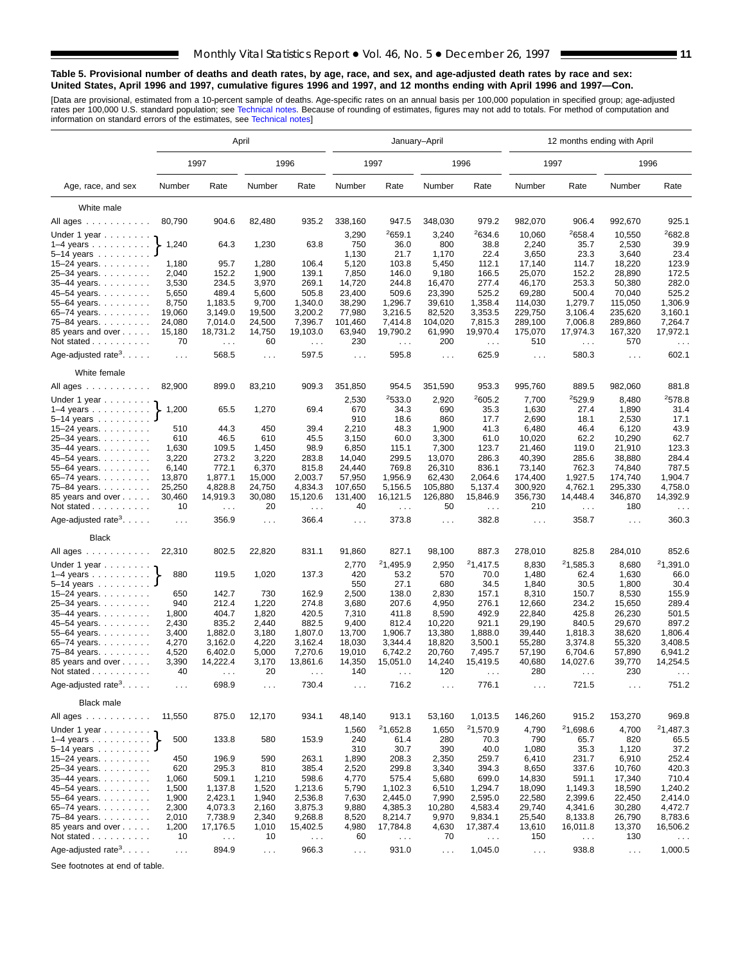#### **Table 5. Provisional number of deaths and death rates, by age, race, and sex, and age-adjusted death rates by race and sex: United States, April 1996 and 1997, cumulative figures 1996 and 1997, and 12 months ending with April 1996 and 1997—Con.**

[Data are provisional, estimated from a 10-percent sample of deaths. Age-specific rates on an annual basis per 100,000 population in specified group; age-adjusted<br>rates per 100,000 U.S. standard population; see Technical n

|                                             | April                |                        |                |                               |                      |                                  | January-April        |                                  | 12 months ending with April |                        |                  |                                  |  |  |
|---------------------------------------------|----------------------|------------------------|----------------|-------------------------------|----------------------|----------------------------------|----------------------|----------------------------------|-----------------------------|------------------------|------------------|----------------------------------|--|--|
|                                             |                      | 1997                   |                | 1996                          |                      | 1997                             |                      | 1996                             | 1997                        |                        | 1996             |                                  |  |  |
| Age, race, and sex                          | Number               | Rate                   | Number         | Rate                          | Number               | Rate                             | Number               | Rate                             | Number                      | Rate                   | Number           | Rate                             |  |  |
| White male                                  |                      |                        |                |                               |                      |                                  |                      |                                  |                             |                        |                  |                                  |  |  |
| All ages                                    | 80,790               | 904.6                  | 82,480         | 935.2                         | 338,160              | 947.5                            | 348,030              | 979.2                            | 982,070                     | 906.4                  | 992,670          | 925.1                            |  |  |
|                                             |                      |                        |                |                               | 3,290                | 2659.1                           | 3,240                | 2634.6                           | 10,060                      | 2658.4                 | 10,550           | 2682.8                           |  |  |
| Under 1 year<br>$1-4$ years                 | 1,240                | 64.3                   | 1,230          | 63.8                          | 750                  | 36.0                             | 800                  | 38.8                             | 2,240                       | 35.7                   | 2,530            | 39.9                             |  |  |
| $5 - 14$ years                              |                      |                        |                |                               | 1,130                | 21.7                             | 1,170                | 22.4                             | 3,650                       | 23.3                   | 3,640            | 23.4                             |  |  |
| 15-24 years.                                | 1,180                | 95.7                   | 1,280          | 106.4                         | 5,120                | 103.8                            | 5,450                | 112.1                            | 17,140                      | 114.7                  | 18,220           | 123.9                            |  |  |
| 25-34 years.                                | 2,040                | 152.2                  | 1,900          | 139.1                         | 7,850                | 146.0                            | 9,180                | 166.5                            | 25,070                      | 152.2                  | 28,890           | 172.5                            |  |  |
| 35-44 years.                                | 3,530                | 234.5                  | 3,970          | 269.1                         | 14,720               | 244.8                            | 16,470               | 277.4                            | 46,170                      | 253.3                  | 50,380           | 282.0                            |  |  |
| 45-54 years.                                | 5,650                | 489.4                  | 5,600          | 505.8                         | 23,400               | 509.6                            | 23,390               | 525.2                            | 69,280                      | 500.4                  | 70,040           | 525.2                            |  |  |
| 55–64 years.                                | 8,750                | 1,183.5                | 9,700          | 1,340.0                       | 38,290               | 1,296.7                          | 39,610               | 1,358.4                          | 114,030                     | 1,279.7                | 115,050          | 1,306.9                          |  |  |
| 65–74 years. $\ldots$                       | 19,060               | 3,149.0                | 19,500         | 3,200.2                       | 77,980               | 3,216.5                          | 82,520               | 3,353.5                          | 229,750                     | 3,106.4                | 235,620          | 3,160.1                          |  |  |
| 75-84 years.                                | 24,080               | 7,014.0                | 24,500         | 7,396.7                       | 101,460              | 7,414.8                          | 104,020              | 7,815.3                          | 289,100                     | 7,006.8                | 289,860          | 7,264.7                          |  |  |
| 85 years and over                           | 15,180               | 18,731.2               | 14,750         | 19,103.0                      | 63,940               | 19,790.2                         | 61,990               | 19,970.4                         | 175,070                     | 17,974.3               | 167,320          | 17,972.1                         |  |  |
| Not stated                                  | 70                   | $\sim 100$             | 60             | $\sim$ $\sim$                 | 230                  | $\ldots$                         | 200                  | $\sim$ $\sim$                    | 510                         | $\sim$ $\sim$          | 570              | $\cdots$                         |  |  |
| Age-adjusted rate <sup>3</sup> . $\ldots$ . | $\ldots$ .           | 568.5                  | $\cdots$       | 597.5                         | $\sim$ $\sim$ $\sim$ | 595.8                            | $\sim$ $\sim$ $\sim$ | 625.9                            | $\sim 100$                  | 580.3                  | $\cdots$         | 602.1                            |  |  |
| White female                                |                      |                        |                |                               |                      |                                  |                      |                                  |                             |                        |                  |                                  |  |  |
| All ages                                    | 82,900               | 899.0                  | 83,210         | 909.3                         | 351,850              | 954.5                            | 351,590              | 953.3                            | 995,760                     | 889.5                  | 982,060          | 881.8                            |  |  |
| Under 1 year                                |                      |                        |                |                               | 2,530                | 2533.0                           | 2,920                | 2605.2                           | 7,700                       | 2529.9                 | 8,480            | 2578.8                           |  |  |
| $1-4$ years                                 | 1,200                | 65.5                   | 1,270          | 69.4                          | 670<br>910           | 34.3                             | 690                  | 35.3                             | 1,630                       | 27.4                   | 1,890            | 31.4                             |  |  |
| $5 - 14$ years<br>15-24 years.              | 510                  | 44.3                   | 450            | 39.4                          | 2,210                | 18.6<br>48.3                     | 860<br>1,900         | 17.7<br>41.3                     | 2,690<br>6,480              | 18.1<br>46.4           | 2,530<br>6,120   | 17.1<br>43.9                     |  |  |
| 25-34 years.                                | 610                  | 46.5                   | 610            | 45.5                          | 3,150                | 60.0                             | 3,300                | 61.0                             | 10,020                      | 62.2                   | 10,290           | 62.7                             |  |  |
| 35-44 years.                                | 1,630                | 109.5                  | 1,450          | 98.9                          | 6,850                | 115.1                            | 7,300                | 123.7                            | 21,460                      | 119.0                  | 21,910           | 123.3                            |  |  |
| 45-54 years.                                | 3,220                | 273.2                  | 3,220          | 283.8                         | 14,040               | 299.5                            | 13,070               | 286.3                            | 40.390                      | 285.6                  | 38.880           | 284.4                            |  |  |
| 55-64 years.                                | 6,140                | 772.1                  | 6,370          | 815.8                         | 24,440               | 769.8                            | 26,310               | 836.1                            | 73,140                      | 762.3                  | 74,840           | 787.5                            |  |  |
| 65-74 years.                                | 13,870               | 1,877.1                | 15,000         | 2,003.7                       | 57,950               | 1,956.9                          | 62,430               | 2,064.6                          | 174,400                     | 1,927.5                | 174,740          | 1,904.7                          |  |  |
| 75-84 years.                                | 25,250               | 4,828.8                | 24,750         | 4,834.3                       | 107,650              | 5,156.5                          | 105,880              | 5,137.4                          | 300,920                     | 4,762.1                | 295,330          | 4,758.0                          |  |  |
| 85 years and over<br>Not stated             | 30,460<br>10         | 14,919.3<br>$\sim 100$ | 30,080<br>20   | 15,120.6<br>$\sim 100$        | 131,400<br>40        | 16,121.5<br>$\sim$ $\sim$ $\sim$ | 126,880<br>50        | 15,846.9<br>$\sim$ $\sim$ $\sim$ | 356,730<br>210              | 14,448.4<br>$\sim 100$ | 346,870<br>180   | 14,392.9<br>$\sim$ $\sim$ $\sim$ |  |  |
| Age-adjusted rate <sup>3</sup> .            | $\sim 100$           | 356.9                  | $\cdots$       | 366.4                         | $\sim$ $\sim$ $\sim$ | 373.8                            | $\sim$ $\sim$ $\sim$ | 382.8                            | $\sim 100$                  | 358.7                  | $\cdots$         | 360.3                            |  |  |
| <b>Black</b>                                |                      |                        |                |                               |                      |                                  |                      |                                  |                             |                        |                  |                                  |  |  |
| All ages                                    | 22,310               | 802.5                  | 22,820         | 831.1                         | 91,860               | 827.1                            | 98,100               | 887.3                            | 278,010                     | 825.8                  | 284,010          | 852.6                            |  |  |
| Under 1 year $\ldots \ldots$                |                      |                        |                |                               | 2,770                | 21,495.9                         | 2,950                | 21,417.5                         | 8,830                       | 21,585.3               | 8,680            | 21,391.0                         |  |  |
| $1-4$ years                                 | 880                  | 119.5                  | 1,020          | 137.3                         | 420                  | 53.2                             | 570                  | 70.0                             | 1,480                       | 62.4                   | 1,630            | 66.0                             |  |  |
| $5-14$ years                                |                      |                        |                |                               | 550                  | 27.1                             | 680                  | 34.5                             | 1,840                       | 30.5                   | 1,800            | 30.4                             |  |  |
| 15-24 years.                                | 650                  | 142.7                  | 730            | 162.9                         | 2,500                | 138.0                            | 2,830                | 157.1                            | 8,310                       | 150.7                  | 8,530            | 155.9                            |  |  |
| 25-34 years.                                | 940                  | 212.4                  | 1,220          | 274.8                         | 3,680                | 207.6                            | 4,950                | 276.1                            | 12,660                      | 234.2                  | 15,650           | 289.4                            |  |  |
| 35-44 years.                                | 1,800                | 404.7                  | 1,820          | 420.5                         | 7,310                | 411.8                            | 8,590                | 492.9                            | 22,840                      | 425.8                  | 26,230           | 501.5                            |  |  |
| 45-54 years.                                | 2,430                | 835.2                  | 2,440          | 882.5                         | 9,400                | 812.4                            | 10,220               | 921.1                            | 29,190                      | 840.5                  | 29,670           | 897.2                            |  |  |
| 55-64 years.<br>65-74 years.                | 3,400<br>4,270       | 1,882.0<br>3,162.0     | 3,180<br>4,220 | 1,807.0<br>3,162.4            | 13,700<br>18,030     | 1,906.7<br>3,344.4               | 13,380<br>18,820     | 1,888.0<br>3,500.1               | 39,440<br>55,280            | 1,818.3<br>3,374.8     | 38,620<br>55,320 | 1,806.4<br>3,408.5               |  |  |
| 75-84 years.                                | 4,520                | 6,402.0                | 5,000          | 7,270.6                       | 19,010               | 6,742.2                          | 20,760               | 7,495.7                          | 57,190                      | 6,704.6                | 57,890           | 6,941.2                          |  |  |
| 85 years and over                           | 3,390                | 14,222.4               | 3,170          | 13,861.6                      | 14,350               | 15,051.0                         | 14,240               | 15,419.5                         | 40,680                      | 14,027.6               | 39,770           | 14,254.5                         |  |  |
| Not stated                                  | 40                   |                        | 20             |                               | 140                  |                                  | 120                  |                                  | 280                         |                        | 230              |                                  |  |  |
| Age-adjusted rate <sup>3</sup> .            | $\sim$ $\sim$ $\sim$ | 698.9                  | $\cdots$       | 730.4                         | $\sim$ $\sim$ $\sim$ | 716.2                            | $\sim$ $\sim$ $\sim$ | 776.1                            | $\cdots$                    | 721.5                  | $\cdots$         | 751.2                            |  |  |
| <b>Black male</b>                           |                      |                        |                |                               |                      |                                  |                      |                                  |                             |                        |                  |                                  |  |  |
| All ages                                    | 11,550               | 875.0                  | 12,170         | 934.1                         | 48,140               | 913.1                            | 53,160               | 1,013.5                          | 146,260                     | 915.2                  | 153,270          | 969.8                            |  |  |
| Under 1 year $\ldots \ldots$                |                      |                        |                |                               | 1,560                | 21,652.8                         | 1,650                | 21,570.9                         | 4,790                       | <sup>2</sup> 1,698.6   | 4,700            | 21,487.3                         |  |  |
| $1-4$ years $\ldots$ $\ldots$ $\ldots$ .    | 500                  | 133.8                  | 580            | 153.9                         | 240                  | 61.4                             | 280                  | 70.3                             | 790                         | 65.7                   | 820              | 65.5                             |  |  |
| $5 - 14$ years                              |                      |                        |                |                               | 310                  | 30.7                             | 390                  | 40.0                             | 1,080                       | 35.3                   | 1,120            | 37.2                             |  |  |
| 15-24 years.                                | 450                  | 196.9                  | 590            | 263.1                         | 1,890                | 208.3                            | 2,350                | 259.7                            | 6,410                       | 231.7                  | 6,910            | 252.4                            |  |  |
| 25-34 years.                                | 620                  | 295.3                  | 810            | 385.4                         | 2,520                | 299.8                            | 3,340                | 394.3                            | 8,650                       | 337.6                  | 10,760           | 420.3                            |  |  |
| 35-44 years.                                | 1,060                | 509.1                  | 1,210          | 598.6                         | 4,770                | 575.4                            | 5,680                | 699.0                            | 14,830                      | 591.1                  | 17,340           | 710.4                            |  |  |
| 45-54 years.                                | 1,500                | 1,137.8                | 1,520          | 1,213.6                       | 5,790                | 1,102.3                          | 6,510                | 1,294.7                          | 18,090                      | 1,149.3                | 18,590           | 1,240.2                          |  |  |
| 55–64 years.                                | 1,900                | 2,423.1                | 1,940          | 2,536.8                       | 7,630                | 2,445.0                          | 7,990                | 2,595.0                          | 22,580                      | 2,399.6                | 22,450           | 2,414.0                          |  |  |
| 65–74 years. $\ldots$<br>75-84 years.       | 2,300<br>2,010       | 4,073.3<br>7,738.9     | 2,160<br>2,340 | 3,875.3<br>9,268.8            | 9,880<br>8,520       | 4,385.3<br>8,214.7               | 10,280<br>9,970      | 4,583.4<br>9,834.1               | 29,740<br>25,540            | 4,341.6<br>8,133.8     | 30,280<br>26,790 | 4,472.7<br>8,783.6               |  |  |
| 85 years and over                           | 1,200                | 17,176.5               | 1,010          | 15,402.5                      | 4,980                | 17,784.8                         | 4,630                | 17,387.4                         | 13,610                      | 16,011.8               | 13,370           | 16,506.2                         |  |  |
| Not stated                                  | 10                   | $\sim$ $\sim$          | 10             | $\epsilon \rightarrow \infty$ | 60                   | $\sim$ $\sim$                    | 70                   | $\sim$ $\sim$                    | 150                         | $\sim$ $\sim$ $\sim$   | 130              | $\epsilon \rightarrow \infty$    |  |  |
|                                             |                      |                        |                |                               |                      |                                  |                      |                                  |                             |                        |                  |                                  |  |  |
| Age-adjusted rate <sup>3</sup> .            | $\sim$ $\sim$        | 894.9                  | $\sim$ $\sim$  | 966.3                         | $\sim$ $\sim$        | 931.0                            | $\sim$ $\sim$        | 1,045.0                          | $\sim 100$                  | 938.8                  | $\sim 100$       | 1,000.5                          |  |  |

See footnotes at end of table.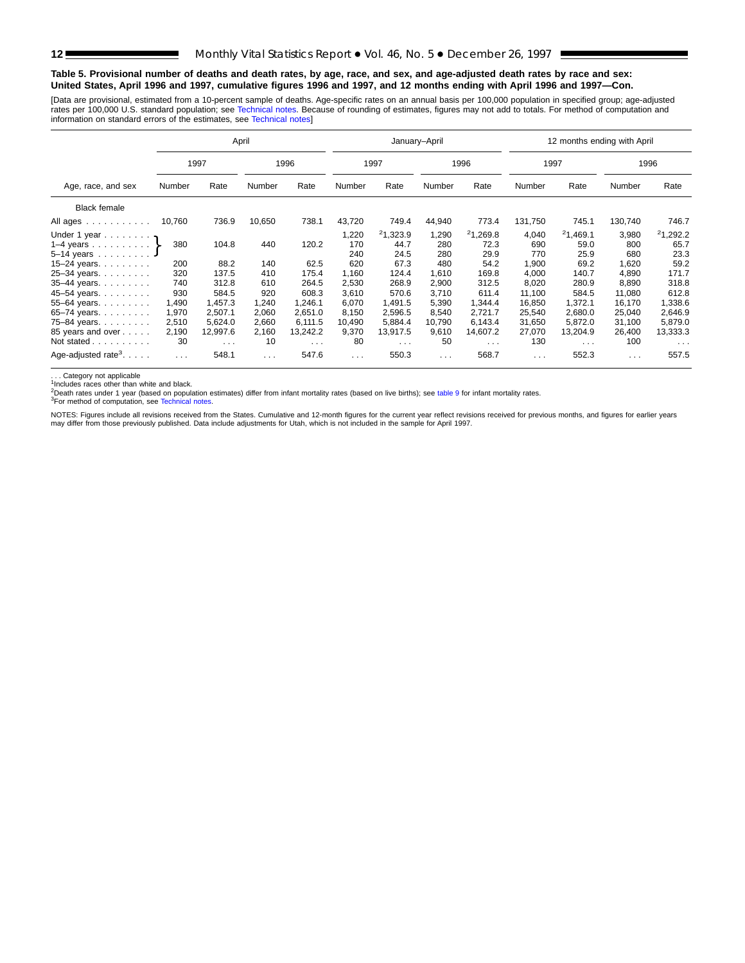#### <span id="page-11-0"></span>**Table 5. Provisional number of deaths and death rates, by age, race, and sex, and age-adjusted death rates by race and sex: United States, April 1996 and 1997, cumulative figures 1996 and 1997, and 12 months ending with April 1996 and 1997—Con.**

[Data are provisional, estimated from a 10-percent sample of deaths. Age-specific rates on an annual basis per 100,000 population in specified group; age-adjusted rates per 100,000 U.S. standard population; see [Technical notes. Becau](#page-16-0)se of rounding of estimates, figures may not add to totals. For method of computation and<br>information on standard errors of the estimates, see Technical

|                                                                                                  |                               |                                            | April                         |                                            |                                     |                                            | January-April                       |                                            |                                       | 12 months ending with April                |                                       |                                            |
|--------------------------------------------------------------------------------------------------|-------------------------------|--------------------------------------------|-------------------------------|--------------------------------------------|-------------------------------------|--------------------------------------------|-------------------------------------|--------------------------------------------|---------------------------------------|--------------------------------------------|---------------------------------------|--------------------------------------------|
|                                                                                                  |                               | 1997                                       |                               | 1996                                       |                                     | 1997                                       |                                     | 1996                                       | 1997                                  |                                            |                                       | 1996                                       |
| Age, race, and sex                                                                               | Number                        | Rate                                       | Number                        | Rate                                       | Number                              | Rate                                       | Number                              | Rate                                       | Number                                | Rate                                       | Number                                | Rate                                       |
| <b>Black female</b>                                                                              |                               |                                            |                               |                                            |                                     |                                            |                                     |                                            |                                       |                                            |                                       |                                            |
| All ages                                                                                         | 10,760                        | 736.9                                      | 10,650                        | 738.1                                      | 43,720                              | 749.4                                      | 44,940                              | 773.4                                      | 131,750                               | 745.1                                      | 130,740                               | 746.7                                      |
| Under 1 year $\eta$<br>1–4 years $\}$<br>$5 - 14$ years<br>15-24 years. $\ldots$<br>25-34 years. | 380<br>200<br>320             | 104.8<br>88.2<br>137.5                     | 440<br>140<br>410             | 120.2<br>62.5<br>175.4                     | 1,220<br>170<br>240<br>620<br>1,160 | 21,323.9<br>44.7<br>24.5<br>67.3<br>124.4  | 1,290<br>280<br>280<br>480<br>1,610 | 21,269.8<br>72.3<br>29.9<br>54.2<br>169.8  | 4,040<br>690<br>770<br>1,900<br>4.000 | 21,469.1<br>59.0<br>25.9<br>69.2<br>140.7  | 3,980<br>800<br>680<br>1,620<br>4,890 | 21,292.2<br>65.7<br>23.3<br>59.2<br>171.7  |
| 35-44 years.<br>45-54 years.<br>55-64 years.                                                     | 740<br>930<br>1,490           | 312.8<br>584.5<br>1,457.3                  | 610<br>920<br>1,240           | 264.5<br>608.3<br>1,246.1                  | 2,530<br>3,610<br>6,070             | 268.9<br>570.6<br>1,491.5                  | 2,900<br>3,710<br>5,390             | 312.5<br>611.4<br>1,344.4                  | 8,020<br>11,100<br>16,850             | 280.9<br>584.5<br>1,372.1                  | 8,890<br>11,080<br>16,170             | 318.8<br>612.8<br>1,338.6                  |
| 65-74 years.<br>75-84 years.<br>85 years and over<br>Not stated                                  | 1,970<br>2,510<br>2,190<br>30 | 2,507.1<br>5,624.0<br>12,997.6<br>$\cdots$ | 2,060<br>2,660<br>2,160<br>10 | 2,651.0<br>6.111.5<br>13,242.2<br>$\cdots$ | 8,150<br>10,490<br>9,370<br>80      | 2,596.5<br>5,884.4<br>13,917.5<br>$\cdots$ | 8,540<br>10,790<br>9,610<br>50      | 2,721.7<br>6,143.4<br>14,607.2<br>$\cdots$ | 25,540<br>31,650<br>27,070<br>130     | 2,680.0<br>5,872.0<br>13,204.9<br>$\cdots$ | 25,040<br>31,100<br>26,400<br>100     | 2,646.9<br>5,879.0<br>13,333.3<br>$\cdots$ |
| Age-adjusted rate <sup>3</sup> . $\ldots$ .                                                      | $\sim$ $\sim$ $\sim$          | 548.1                                      | $\sim$ $\sim$ $\sim$          | 547.6                                      | $\sim$ $\sim$ $\sim$                | 550.3                                      | $\sim$ $\sim$ $\sim$                | 568.7                                      | $\sim$ $\sim$ $\sim$                  | 552.3                                      | $\sim$ $\sim$ $\sim$                  | 557.5                                      |

.. Category not applicable

1. Calegory not approach.<br><sup>1</sup>Includes races other than white and black.

2Death rates under 1 year (ba[sed on population estim](#page-16-0)ates) differ from infant mortality rates (based on live births); see [table 9](#page-15-0) for infant mortality rates.<br><sup>3</sup>For method of computation, see Technical notes.

NOTES: Figures include all revisions received from the States. Cumulative and 12-month figures for the current year reflect revisions received for previous months, and figures for earlier years may differ from those previously published. Data include adjustments for Utah, which is not included in the sample for April 1997.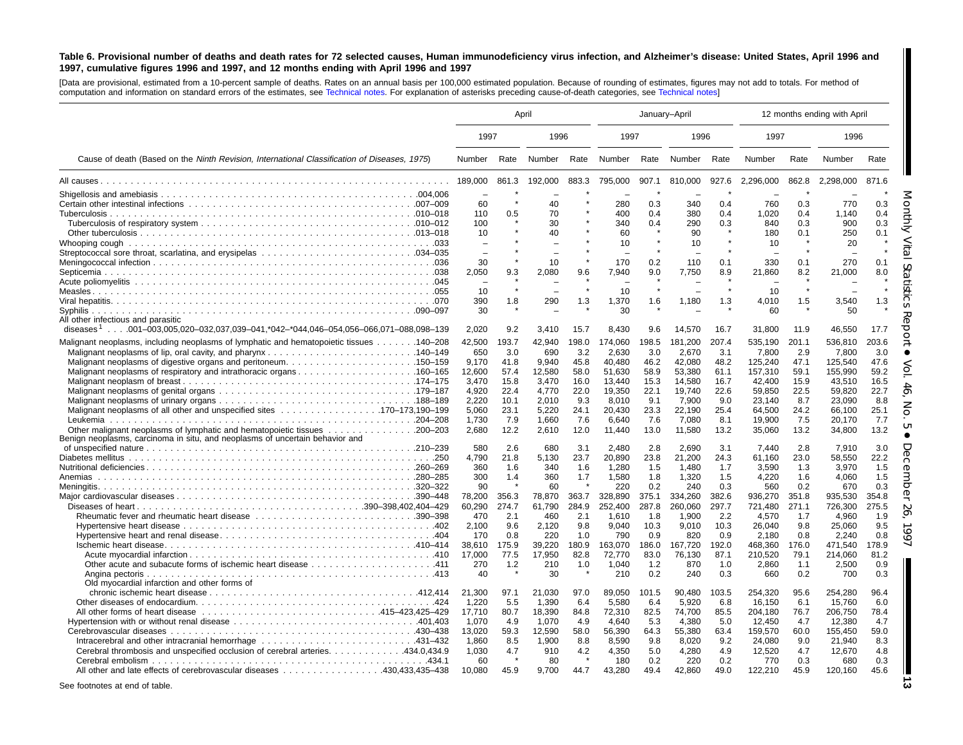#### <span id="page-12-0"></span>Table 6. Provisional number of deaths and death rates for 72 selected causes, Human immunodeficiency virus infection, and Alzheimer's disease: United States, April 1996 and 1997, cumulative figures 1996 and 1997, and 12 months ending with April 1996 and 1997

[Data are provisional, estimated from <sup>a</sup> 10-percent sample of deaths. Rates on an annual basis per 100,000 estimated population. Because of rounding of [estimates,](#page-16-0) figures may not add to totals. For method of computation and information on standard errors of the estimates, see [Technical](#page-16-0) notes. For explanation of asterisks preceding cause-of-death categories, see Technical notes]

|                                                                                                 | April     |       |              |         | January-April |              |                |              |                |              | 12 months ending with April |              |
|-------------------------------------------------------------------------------------------------|-----------|-------|--------------|---------|---------------|--------------|----------------|--------------|----------------|--------------|-----------------------------|--------------|
|                                                                                                 | 1997      |       | 1996         |         | 1997          |              | 1996           |              | 1997           |              | 1996                        |              |
| Cause of death (Based on the Ninth Revision, International Classification of Diseases, 1975)    | Number    | Rate  | Number       | Rate    | Number        | Rate         | Number         | Rate         | Number         | Rate         | Number                      | Rate         |
|                                                                                                 | 189.000   | 861.3 | 192.000      | 883.3   | 795.000       | 907.1        | 810.000        | 927.6        | 2,296,000      | 862.8        | 2,298,000                   | 871.6        |
|                                                                                                 |           |       |              |         |               |              |                |              |                |              |                             |              |
|                                                                                                 | 60        |       | 40           |         | 280           | 0.3          | 340            | 0.4          | 760            | 0.3          | 770                         | 0.3          |
|                                                                                                 | 110       | 0.5   | 70           |         | 400           | 0.4          | 380            | 0.4          | 1,020          | 0.4          | 1,140                       | 0.4          |
|                                                                                                 | 100       |       | 30           |         | 340           | 0.4          | 290            | 0.3          | 840            | 0.3          | 900                         | 0.3          |
|                                                                                                 | 10        |       | 40           |         | 60            | $\star$      | 90             | $\star$      | 180            | 0.1          | 250                         | 0.1          |
|                                                                                                 |           |       |              |         | 10            |              | 10             |              | 10             |              | 20                          |              |
|                                                                                                 |           |       |              |         |               |              |                |              |                |              |                             |              |
|                                                                                                 | 30        |       | 10           |         | 170           | 0.2          | 110            | 0.1          | 330            | 0.1          | 270                         | 0.1          |
|                                                                                                 | 2,050     | 9.3   | 2,080        | 9.6     | 7.940         | 9.0          | 7.750          | 8.9          | 21,860         | 8.2          | 21,000                      | 8.0          |
|                                                                                                 | 10        |       |              | $\star$ | 10            | $\star$      |                | $\star$      | 10             |              |                             |              |
|                                                                                                 | 390       | 1.8   | 290          | 1.3     | 1,370         | 1.6          | 1,180          | 1.3          | 4,010          | 1.5          | 3,540                       | 1.3          |
|                                                                                                 | 30        |       |              |         | 30            |              |                |              | 60             |              | 50                          |              |
| All other infectious and parasitic                                                              |           |       |              |         |               |              |                |              |                |              |                             |              |
| diseases <sup>1</sup> 001–003,005,020–032,037,039–041,*042–*044,046–054,056–066,071–088,098–139 | 2.020     | 9.2   | 3.410        | 15.7    | 8.430         | 9.6          | 14,570         | 16.7         | 31,800         | 11.9         | 46.550                      | 17.7         |
| Malignant neoplasms, including neoplasms of lymphatic and hematopoietic tissues 140–208         | 42,500    | 193.7 | 42,940       | 198.0   | 174,060       | 198.5        | 181,200        | 207.4        | 535,190        | 201.1        | 536,810                     | 203.6        |
|                                                                                                 | 650       | 3.0   | 690          | 3.2     | 2,630         | 3.0          | 2,670          | 3.1          | 7,800          | 2.9          | 7.800                       | 3.0          |
|                                                                                                 | 9.170     | 41.8  | 9.940        | 45.8    | 40.480        | 46.2         | 42,080         | 48.2         | 125,240        | 47.1         | 125,540                     | 47.6         |
| Malignant neoplasms of respiratory and intrathoracic organs160–165                              | 12,600    | 57.4  | 12,580       | 58.0    | 51.630        | 58.9         | 53,380         | 61.1         | 157,310        | 59.1         | 155.990                     | 59.2         |
|                                                                                                 | 3.470     | 15.8  | 3.470        | 16.0    | 13.440        | 15.3         | 14.580         | 16.7         | 42.400         | 15.9         | 43.510                      | 16.5         |
|                                                                                                 | 4,920     | 22.4  | 4,770        | 22.0    | 19,350        | 22.1         | 19,740         | 22.6         | 59,850         | 22.5         | 59,820                      | 22.7         |
|                                                                                                 | 2,220     | 10.1  | 2,010        | 9.3     | 8,010         | 9.1          | 7,900          | 9.0          | 23,140         | 8.7          | 23,090                      | 8.8          |
| Malignant neoplasms of all other and unspecified sites 170-173,190-199                          | 5,060     | 23.1  | 5,220        | 24.1    | 20,430        | 23.3         | 22,190         | 25.4         | 64,500         | 24.2         | 66.100                      | 25.1         |
|                                                                                                 | 1.730     | 7.9   | 1.660        | 7.6     | 6.640         | 7.6          | 7.080          | 8.1          | 19.900         | 7.5          | 20.170                      | 7.7          |
|                                                                                                 | 2.680     | 12.2  | 2.610        | 12.0    | 11.440        | 13.0         | 11,580         | 13.2         | 35,060         | 13.2         | 34,800                      | 13.2         |
| Benign neoplasms, carcinoma in situ, and neoplasms of uncertain behavior and                    |           |       |              |         |               |              |                |              |                |              |                             |              |
|                                                                                                 | 580       | 2.6   | 680          | 3.1     | 2.480         | 2.8          | 2,690          | 3.1          | 7.440          | 2.8          | 7.910                       | 3.0          |
|                                                                                                 | 4,790     | 21.8  | 5.130        | 23.7    | 20.890        | 23.8         | 21,200         | 24.3         | 61.160         | 23.0         | 58.550                      | 22.2         |
|                                                                                                 | 360       | 1.6   | 340          | 1.6     | 1,280         | 1.5          | 1,480          | 1.7          | 3,590          | 1.3          | 3,970                       | 1.5          |
| Anemias                                                                                         | 300<br>90 | 1.4   | 360          | 1.7     | 1,580<br>220  | 1.8          | 1,320          | 1.5          | 4,220          | 1.6          | 4,060                       | 1.5          |
|                                                                                                 | 78,200    | 356.3 | 60<br>78,870 | 363.7   | 328,890       | 0.2<br>375.1 | 240<br>334,260 | 0.3<br>382.6 | 560<br>936,270 | 0.2<br>351.8 | 670<br>935,530              | 0.3<br>354.8 |
|                                                                                                 | 60,290    | 274.7 | 61,790       | 284.9   | 252.400       | 287.8        | 260,060        | 297.7        | 721.480        | 271.1        | 726.300                     | 275.5        |
|                                                                                                 | 470       | 2.1   | 460          | 2.1     | 1,610         | 1.8          | 1,900          | 2.2          | 4,570          | 1.7          | 4.960                       | 1.9          |
|                                                                                                 | 2.100     | 9.6   | 2,120        | 9.8     | 9.040         | 10.3         | 9.010          | 10.3         | 26.040         | 9.8          | 25.060                      | 9.5          |
|                                                                                                 | 170       | 0.8   | 220          | 1.0     | 790           | 0.9          | 820            | 0.9          | 2,180          | 0.8          | 2,240                       | 0.8          |
|                                                                                                 | 38,610    | 175.9 | 39,220       | 180.9   | 163,070       | 186.0        | 167,720        | 192.0        | 468,360        | 176.0        | 471,540                     | 178.9        |
|                                                                                                 | 17,000    | 77.5  | 17,950       | 82.8    | 72,770        | 83.0         | 76,130         | 87.1         | 210,520        | 79.1         | 214,060                     | 81.2         |
|                                                                                                 | 270       | 1.2   | 210          | 1.0     | 1,040         | 1.2          | 870            | 1.0          | 2,860          | 1.1          | 2,500                       | 0.9          |
|                                                                                                 | 40        |       | 30           |         | 210           | 0.2          | 240            | 0.3          | 660            | 0.2          | 700                         | 0.3          |
| Old myocardial infarction and other forms of                                                    |           |       |              |         |               |              |                |              |                |              |                             |              |
|                                                                                                 | 21,300    | 97.1  | 21.030       | 97.0    | 89.050        | 101.5        | 90.480         | 103.5        | 254,320        | 95.6         | 254.280                     | 96.4         |
|                                                                                                 | 1,220     | 5.5   | 1,390        | 6.4     | 5,580         | 6.4          | 5,920          | 6.8          | 16.150         | 6.1          | 15,760                      | 6.0          |
|                                                                                                 | 17,710    | 80.7  | 18,390       | 84.8    | 72,310        | 82.5         | 74,700         | 85.5         | 204,180        | 76.7         | 206,750                     | 78.4         |
|                                                                                                 | 1,070     | 4.9   | 1,070        | 4.9     | 4,640         | 5.3          | 4,380          | 5.0          | 12,450         | 4.7          | 12,380                      | 4.7          |
|                                                                                                 | 13,020    | 59.3  | 12,590       | 58.0    | 56,390        | 64.3         | 55,380         | 63.4         | 159,570        | 60.0         | 155,450                     | 59.0         |
| Intracerebral and other intracranial hemorrhage 431-432                                         | 1,860     | 8.5   | 1,900        | 8.8     | 8,590         | 9.8          | 8,020          | 9.2          | 24,080         | 9.0          | 21,940                      | 8.3          |
| Cerebral thrombosis and unspecified occlusion of cerebral arteries. 434.0,434.9                 | 1,030     | 4.7   | 910          | 4.2     | 4,350         | 5.0          | 4,280          | 4.9          | 12,520         | 4.7          | 12,670                      | 4.8          |
|                                                                                                 | 60        |       | 80           |         | 180           | 0.2          | 220            | 0.2          | 770            | 0.3          | 680                         | 0.3          |
| All other and late effects of cerebrovascular diseases 430,433,435–438                          | 10.080    | 45.9  | 9.700        | 44.7    | 43.280        | 49.4         | 42,860         | 49.0         | 122,210        | 45.9         | 120,160                     | 45.6         |
|                                                                                                 |           |       |              |         |               |              |                |              |                |              |                             |              |

See footnotes at end of table.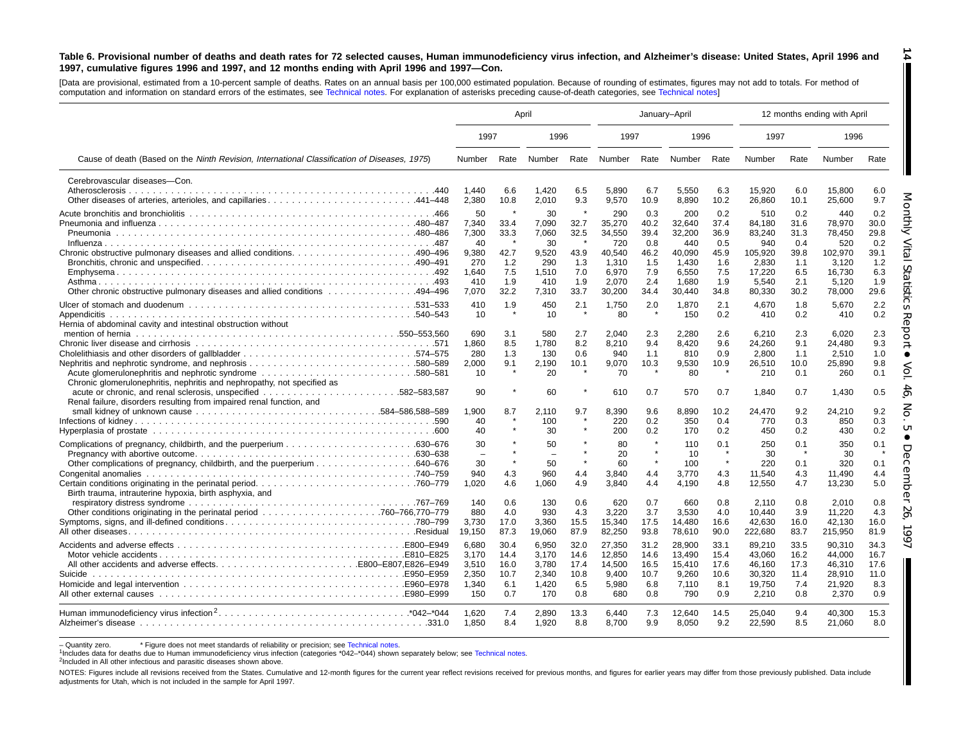#### Table 6. Provisional number of deaths and death rates for 72 selected causes, Human immunodeficiency virus infection, and Alzheimer's disease: United States, April 1996 and 1997, cumulative figures 1996 and 1997, and 12 months ending with April 1996 and 1997-Con.

[Data are provisional, estimated from <sup>a</sup> 10-percent sample of deaths. Rates on an annual basis per 100,000 estimated population. Because of rounding of [estimates,](#page-16-0) figures may not add to totals. For method of computation and information on standard errors of the estimates, see [Technical](#page-16-0) notes. For explanation of asterisks preceding cause-of-death categories, see Technical notes]

|                                                                                                                                                                                                     | April                                                               |                                                              |                                                                     |                                                                   |                                                                               | January-April                                                   |                                                                               |                                                                 |                                                                                 |                                                                 | 12 months ending with April                                                     |                                                                 |
|-----------------------------------------------------------------------------------------------------------------------------------------------------------------------------------------------------|---------------------------------------------------------------------|--------------------------------------------------------------|---------------------------------------------------------------------|-------------------------------------------------------------------|-------------------------------------------------------------------------------|-----------------------------------------------------------------|-------------------------------------------------------------------------------|-----------------------------------------------------------------|---------------------------------------------------------------------------------|-----------------------------------------------------------------|---------------------------------------------------------------------------------|-----------------------------------------------------------------|
|                                                                                                                                                                                                     | 1997                                                                |                                                              | 1996                                                                |                                                                   | 1997                                                                          |                                                                 | 1996                                                                          |                                                                 | 1997                                                                            |                                                                 | 1996                                                                            |                                                                 |
| Cause of death (Based on the Ninth Revision, International Classification of Diseases, 1975)                                                                                                        | Number                                                              |                                                              | Rate Number Rate                                                    |                                                                   | Number                                                                        | Rate                                                            | Number                                                                        | Rate                                                            | Number                                                                          | Rate                                                            | Number                                                                          | Rate                                                            |
| Cerebrovascular diseases-Con.<br>Other diseases of arteries, arterioles, and capillaries441–448                                                                                                     | 1.440<br>2,380                                                      | 6.6<br>10.8                                                  | 1.420<br>2,010                                                      | 6.5<br>9.3                                                        | 5.890<br>9,570                                                                | 6.7<br>10.9                                                     | 5,550<br>8,890                                                                | 6.3<br>10.2                                                     | 15.920<br>26,860                                                                | 6.0<br>10.1                                                     | 15.800<br>25,600                                                                | 6.0<br>9.7                                                      |
| 0ther chronic obstructive pulmonary diseases and allied conditions 494–496                                                                                                                          | 50<br>7,340<br>7,300<br>40<br>9,380<br>270<br>1,640<br>410<br>7,070 | 33.4<br>33.3<br>$\star$<br>42.7<br>1.2<br>7.5<br>1.9<br>32.2 | 30<br>7,090<br>7,060<br>30<br>9,520<br>290<br>1,510<br>410<br>7.310 | 32.7<br>32.5<br>- *<br>43.9<br>1.3<br>7.0<br>1.9<br>33.7          | 290<br>35,270<br>34,550<br>720<br>40,540<br>1,310<br>6,970<br>2.070<br>30,200 | 0.3<br>40.2<br>39.4<br>0.8<br>46.2<br>1.5<br>7.9<br>2.4<br>34.4 | 200<br>32,640<br>32,200<br>440<br>40,090<br>1.430<br>6,550<br>1.680<br>30,440 | 0.2<br>37.4<br>36.9<br>0.5<br>45.9<br>1.6<br>7.5<br>1.9<br>34.8 | 510<br>84.180<br>83,240<br>940<br>105,920<br>2.830<br>17,220<br>5.540<br>80,330 | 0.2<br>31.6<br>31.3<br>0.4<br>39.8<br>1.1<br>6.5<br>2.1<br>30.2 | 440<br>78,970<br>78.450<br>520<br>102,970<br>3.120<br>16,730<br>5.120<br>78,000 | 0.2<br>30.0<br>29.8<br>0.2<br>39.1<br>1.2<br>6.3<br>1.9<br>29.6 |
| Hernia of abdominal cavity and intestinal obstruction without<br>Acute glomerulonephritis and nephrotic syndrome 580–581<br>Chronic glomerulonephritis, nephritis and nephropathy, not specified as | 410<br>10<br>690<br>1,860<br>280<br>2,000<br>10                     | 1.9<br>$\star$<br>3.1<br>8.5<br>1.3<br>9.1<br>$\star$        | 450<br>10<br>580<br>1,780<br>130<br>2,190<br>20                     | 2.1<br>$\star$<br>2.7<br>8.2<br>0.6<br>10.1<br>$\star$<br>$\star$ | 1,750<br>80<br>2.040<br>8,210<br>940<br>9,070<br>70                           | 2.0<br>$\star$<br>2.3<br>9.4<br>1.1<br>10.3<br>$\star$          | 1,870<br>150<br>2.280<br>8,420<br>810<br>9,530<br>80                          | 2.1<br>0.2<br>2.6<br>9.6<br>0.9<br>10.9<br>$\star$              | 4,670<br>410<br>6.210<br>24,260<br>2,800<br>26,510<br>210                       | 1.8<br>0.2<br>2.3<br>9.1<br>1.1<br>10.0<br>0.1                  | 5,670<br>410<br>6.020<br>24,480<br>2,510<br>25,890<br>260                       | 2.2<br>0.2<br>2.3<br>9.3<br>1.0<br>9.8<br>0.1                   |
| .582-583.587<br>Renal failure, disorders resulting from impaired renal function, and                                                                                                                | 90<br>1.900<br>40<br>40                                             | 8.7                                                          | 60<br>2.110<br>100<br>30                                            | 9.7                                                               | 610<br>8.390<br>220<br>200                                                    | 0.7<br>9.6<br>0.2<br>0.2                                        | 570<br>8,890<br>350<br>170                                                    | 0.7<br>10.2<br>0.4<br>0.2                                       | 1,840<br>24.470<br>770<br>450                                                   | 0.7<br>9.2<br>0.3<br>0.2                                        | 1,430<br>24,210<br>850<br>430                                                   | 0.5<br>9.2<br>0.3<br>0.2                                        |
| Birth trauma, intrauterine hypoxia, birth asphyxia, and                                                                                                                                             | 30<br>30<br>940<br>1.020                                            | $\star$<br>4.3<br>4.6                                        | 50<br>50<br>960<br>1.060                                            | $\star$<br>4.4<br>4.9                                             | 80<br>20<br>60<br>3,840<br>3.840                                              | $\star$<br>$\star$<br>$\pmb{\ast}$<br>4.4<br>4.4                | 110<br>-10<br>100<br>3.770<br>4.190                                           | 0.1<br>$\star$<br>$\pmb{\ast}$<br>4.3<br>4.8                    | 250<br>30<br>220<br>11,540<br>12,550                                            | 0.1<br>0.1<br>4.3<br>4.7                                        | 350<br>30<br>320<br>11.490<br>13,230                                            | 0.1<br>0.1<br>4.4<br>5.0                                        |
|                                                                                                                                                                                                     | 140<br>880<br>3,730<br>19,150                                       | 0.6<br>4.0<br>17.0<br>87.3                                   | 130<br>930<br>3,360<br>19,060                                       | 0.6<br>4.3<br>15.5<br>87.9                                        | 620<br>3.220<br>15,340<br>82,250                                              | 0.7<br>3.7<br>17.5<br>93.8                                      | 660<br>3.530<br>14,480<br>78,610                                              | 0.8<br>4.0<br>16.6<br>90.0                                      | 2.110<br>10.440<br>42,630<br>222,680                                            | 0.8<br>3.9<br>16.0<br>83.7                                      | 2.010<br>11.220<br>42,130<br>215,950                                            | 0.8<br>4.3<br>16.0<br>81.9                                      |
|                                                                                                                                                                                                     | 6.680<br>3.170<br>3.510<br>2,350<br>1,340<br>150                    | 30.4<br>14.4<br>16.0<br>10.7<br>6.1<br>0.7                   | 6.950<br>3.170<br>3.780<br>2,340<br>1,420<br>170                    | 32.0<br>14.6<br>17.4<br>10.8<br>6.5<br>0.8                        | 27.350<br>12.850<br>14,500<br>9,400<br>5,980<br>680                           | 31.2<br>14.6<br>16.5<br>10.7<br>6.8<br>0.8                      | 28.900<br>13.490<br>15,410<br>9,260<br>7,110<br>790                           | 33.1<br>15.4<br>17.6<br>10.6<br>8.1<br>0.9                      | 89.210<br>43.060<br>46.160<br>30,320<br>19,750<br>2,210                         | 33.5<br>16.2<br>17.3<br>11.4<br>7.4<br>0.8                      | 90.310<br>44.000<br>46,310<br>28,910<br>21,920<br>2,370                         | 34.3<br>16.7<br>17.6<br>11.0<br>8.3<br>0.9                      |
|                                                                                                                                                                                                     | 1,620<br>1.850                                                      | 7.4<br>8.4                                                   | 2,890<br>1,920                                                      | 13.3<br>8.8                                                       | 6.440<br>8,700                                                                | 7.3<br>9.9                                                      | 12,640<br>8,050                                                               | 14.5<br>9.2                                                     | 25,040<br>22,590                                                                | 9.4<br>8.5                                                      | 40,300<br>21,060                                                                | 15.3<br>8.0                                                     |

- Quantity zero. \* Figure does not meet standards of reliability or precision; see Technical notes.

<sup>1</sup>Includes data for deaths due to Human immunodeficiency virus infection (categories [\\*042–\\*044\)](#page-16-0) shown separately below; see [Technical](#page-16-0) notes.

2Included in All other infectious and parasitic diseases shown above.

NOTES: Figures include all revisions received from the States. Cumulative and 12-month figures for the current year reflect revisions received for previous months, and figures for earlier years may differ from those previo adjustments for Utah, which is not included in the sample for April 1997.

**14** H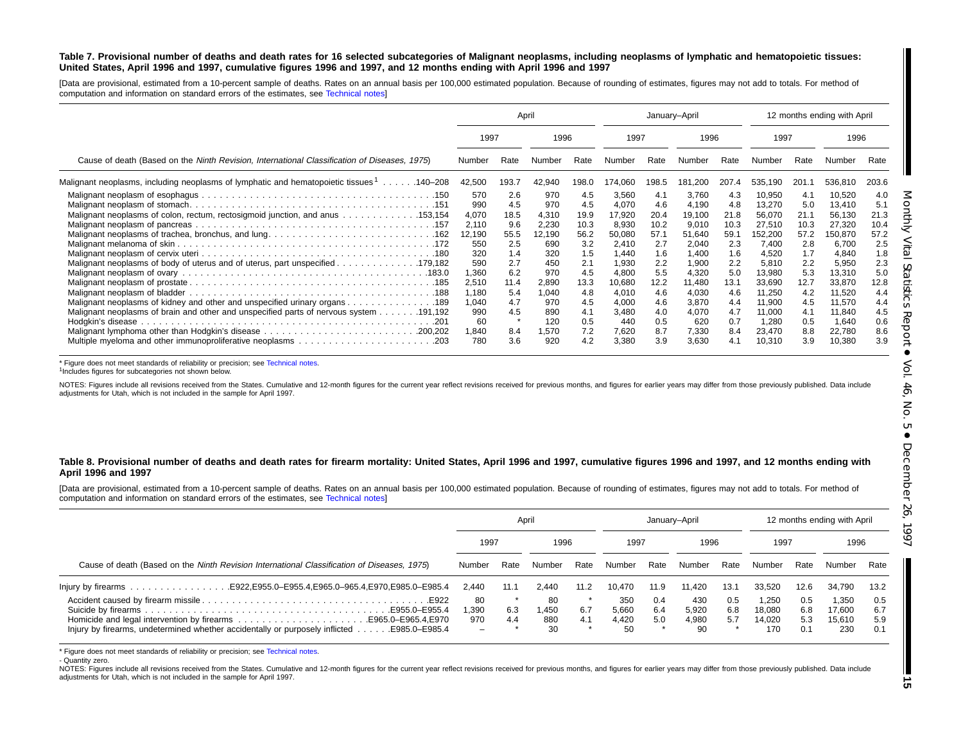#### Table 7. Provisional number of deaths and death rates for 16 selected subcategories of Malignant neoplasms, including neoplasms of lymphatic and hematopoietic tissues: United States, April 1996 and 1997, cumulative figures 1996 and 1997, and 12 months ending with April 1996 and 1997

[Data are provisional, estimated from <sup>a</sup> 10-percent sample of deaths. Rates on an annual basis per 100,000 estimated population. Because of rounding of estimates, figures may not add to totals. For method of computation and information on standard errors of the estimates, see [Technical](#page-16-0) notes]

|                                                                                                       |                                | April                     |                              |                            |                                   | January-April                      |                                   |                            |                                      | 12 months ending with April        |                                      |                                    |
|-------------------------------------------------------------------------------------------------------|--------------------------------|---------------------------|------------------------------|----------------------------|-----------------------------------|------------------------------------|-----------------------------------|----------------------------|--------------------------------------|------------------------------------|--------------------------------------|------------------------------------|
|                                                                                                       | 1997                           |                           | 1996                         |                            | 1997                              |                                    | 1996                              |                            | 1997                                 |                                    | 1996                                 |                                    |
| Cause of death (Based on the Ninth Revision, International Classification of Diseases, 1975)          | Number                         | Rate                      |                              | Rate                       | Number                            | Rate                               | Number                            | Rate                       | Number                               | Rate                               | Number                               | Rate                               |
| Malignant neoplasms, including neoplasms of lymphatic and hematopoietic tissues $\frac{1}{1}$ 140–208 | 42,500                         | 193.7                     | 42,940                       | 198.0                      | 174,060                           | 198.5                              | 181,200                           | 207.4                      | 535,190                              | 201.1                              | 536,810                              | 203.6                              |
| Malignant neoplasms of colon, rectum, rectosigmoid junction, and anus 153,154                         | 570<br>990<br>4,070<br>2,110   | 2.6<br>4.5<br>18.5<br>9.6 | 970<br>970<br>4,310<br>2,230 | 4.5<br>4.5<br>19.9<br>10.3 | 3,560<br>4,070<br>17,920<br>8,930 | 4.1<br>4.6<br>20.4<br>10.2<br>57.1 | 3,760<br>4,190<br>19,100<br>9,010 | 4.3<br>4.8<br>21.8<br>10.3 | 10,950<br>13,270<br>56,070<br>27,510 | 4.1<br>5.0<br>21.1<br>10.3<br>57.2 | 10,520<br>13,410<br>56,130<br>27,320 | 4.0<br>5.1<br>21.3<br>10.4<br>57.2 |
|                                                                                                       | 12,190<br>550<br>320           | 55.5<br>2.5<br>1.4        | 12,190<br>690<br>320         | 56.2<br>3.2<br>1.5         | 50,080<br>2,410<br>1.440          | 2.7<br>1.6                         | 51,640<br>2,040<br>1,400          | 59.1<br>2.3<br>1.6         | 152,200<br>7,400<br>4,520            | 2.8<br>1.7                         | 150,870<br>6,700<br>4,840            | 2.5<br>1.8                         |
|                                                                                                       | 590<br>1,360<br>2,510<br>1,180 | 2.7<br>6.2<br>11.4<br>5.4 | 450<br>970<br>2,890<br>1,040 | 2.1<br>4.5<br>13.3<br>4.8  | 1,930<br>4,800<br>10,680<br>4,010 | 2.2<br>5.5<br>12.2<br>4.6          | 1,900<br>4,320<br>11,480<br>4,030 | 2.2<br>5.0<br>13.1<br>4.6  | 5,810<br>13,980<br>33,690<br>11,250  | 2.2<br>5.3<br>12.7<br>4.2          | 5,950<br>13,310<br>33,870<br>11,520  | 2.3<br>5.0<br>12.8<br>4.4          |
| Malignant neoplasms of kidney and other and unspecified urinary organs 189                            | 1,040<br>990<br>60<br>1,840    | 4.7<br>4.5<br>8.4         | 970<br>890<br>120<br>1,570   | 4.5<br>4.1<br>0.5<br>7.2   | 4,000<br>3,480<br>440<br>7,620    | 4.6<br>4.0<br>0.5<br>8.7           | 3,870<br>4,070<br>620<br>7,330    | 4.4<br>4.7<br>0.7<br>8.4   | 11,900<br>11,000<br>1,280<br>23,470  | 4.5<br>4.1<br>0.5<br>8.8           | 11,570<br>11,840<br>1,640<br>22,780  | 4.4<br>4.5<br>0.6<br>8.6           |
|                                                                                                       | 780                            | 3.6                       | 920                          | 4.2                        | 3,380                             | 3.9                                | 3,630                             | 4.1                        | 10,310                               | 3.9                                | 10,380                               | 3.9                                |

\* Figure does not meet standards of reliability or precision; see [Technical](#page-16-0) notes.

<sup>1</sup>Includes figures for subcategories not shown below.

NOTES: Figures include all revisions received from the States. Cumulative and 12-month figures for the current year reflect revisions received for previous months, and figures for earlier years may differ from those previo adjustments for Utah, which is not included in the sample for April 1997.

#### Table 8. Provisional number of deaths and death rates for firearm mortality: United States, April 1996 and 1997, cumulative figures 1996 and 1997, and 12 months ending with **April 1996 and 1997**

[Data are provisional, estimated from a 10-percent sample of deaths. Rates on an annual basis per 100,000 estimated population. Because of rounding of estimates, figures may not add to totals. For method of computation and information on standard errors of the estimates, see [Technical](#page-16-0) notes]

|                                                                                             |                                       |            | April                   |            |                             |                              | January-April               |                   |                                 | 12 months ending with April |                                  |                          |
|---------------------------------------------------------------------------------------------|---------------------------------------|------------|-------------------------|------------|-----------------------------|------------------------------|-----------------------------|-------------------|---------------------------------|-----------------------------|----------------------------------|--------------------------|
|                                                                                             | 1997                                  | 1996       |                         | 1997       |                             | 1996                         |                             | 1997              |                                 | 1996                        |                                  |                          |
| Cause of death (Based on the Ninth Revision International Classification of Diseases, 1975) |                                       | Rate       | Number                  | Rate       | Number                      | Rate                         | Number                      | Rate              | Number                          | Rate                        | Number                           | Rate                     |
| lnjury by firearms E922, E955.0–E955.4, E965.0–965.4, E970, E985.0–E985.4                   | 2.440                                 | 11.1       | 2.440                   | 11.2       | 10.470                      | 11.9                         | .420                        | 13.1              | 33.520                          | 12.6                        | 34,790                           | 13.2                     |
| Injury by firearms, undetermined whether accidentally or purposely inflicted E985.0–E985.4  | 80<br>1.390<br>970<br>$\qquad \qquad$ | 6.3<br>4.4 | 80<br>.450<br>880<br>30 | 6.7<br>4.1 | 350<br>5.660<br>4.420<br>50 | 0.4<br>6.4<br>5.0<br>$\star$ | 430<br>5,920<br>4.980<br>90 | 0.5<br>6.8<br>5.7 | .250<br>18.080<br>14.020<br>170 | 0.5<br>6.8<br>5.3<br>0.1    | 1,350<br>17.600<br>15.610<br>230 | 0.5<br>6.7<br>5.9<br>0.1 |

\* Figure does not meet standards of reliability or precision; see [Technical](#page-16-0) notes.

- Quantity zero.

NOTES: Figures include all revisions received from the States. Cumulative and 12-month figures for the current year reflect revisions received for previous months, and figures for earlier years may differ from those previo adjustments for Utah, which is not included in the sample for April 1997.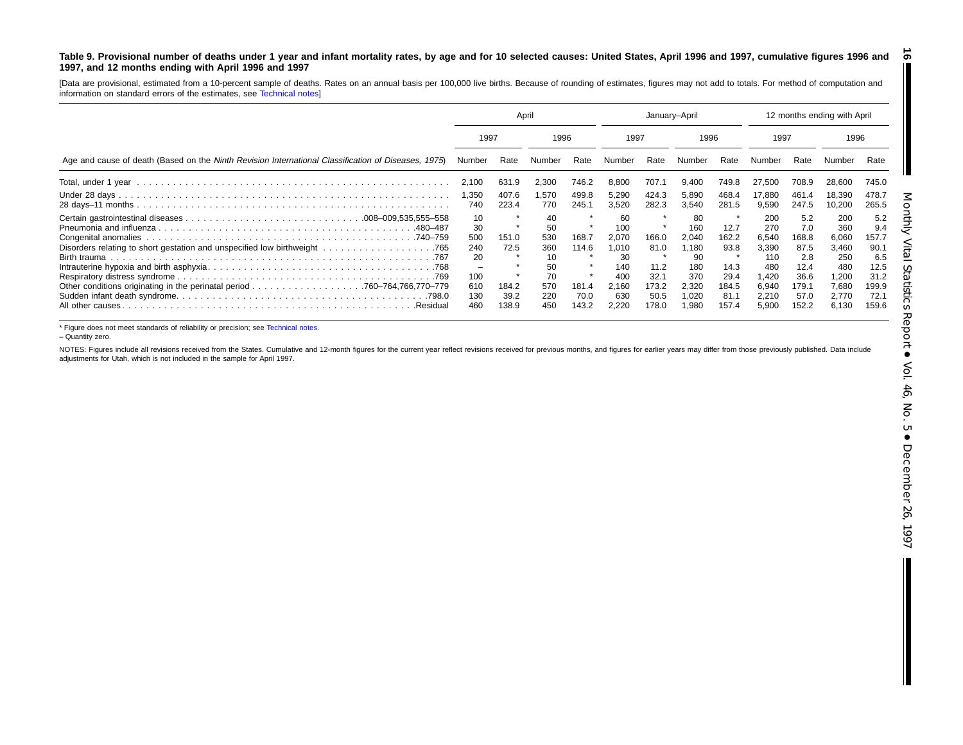#### <span id="page-15-0"></span>Table 9. Provisional number of deaths under 1 year and infant mortality rates, by age and for 10 selected causes: United States, April 1996 and 1997, cumulative figures 1996 and **1997, and 12 months ending with April 1996 and 1997 16**

[Data are provisional, estimated from <sup>a</sup> 10-percent sample of deaths. Rates on an annual basis per 100,000 live births. Because of rounding of estimates, figures may not add to totals. For method of computation and information on standard errors of the estimates, see [Technical](#page-16-0) notes]

|                                                                                                     | April                                                         |                                         |                                                               |                                          | January-April                                                            |                                                         |                                                                            |                                                                 | 12 months ending with April                                                          |                                                                              |                                                                                |                                                                              |
|-----------------------------------------------------------------------------------------------------|---------------------------------------------------------------|-----------------------------------------|---------------------------------------------------------------|------------------------------------------|--------------------------------------------------------------------------|---------------------------------------------------------|----------------------------------------------------------------------------|-----------------------------------------------------------------|--------------------------------------------------------------------------------------|------------------------------------------------------------------------------|--------------------------------------------------------------------------------|------------------------------------------------------------------------------|
|                                                                                                     | 1997<br>1996                                                  |                                         | 1997                                                          |                                          |                                                                          | 1996                                                    |                                                                            | 1997                                                            |                                                                                      | 1996                                                                         |                                                                                |                                                                              |
| Age and cause of death (Based on the Ninth Revision International Classification of Diseases, 1975) | Number                                                        | Rate                                    | Number                                                        | Rate                                     | Number                                                                   | Rate                                                    | Number                                                                     | Rate                                                            | Number                                                                               | Rate                                                                         | Number                                                                         | Rate                                                                         |
|                                                                                                     | 2,100                                                         | 631.9                                   | 2,300                                                         | 746.2                                    | 8,800                                                                    | 707.1                                                   | 9,400                                                                      | 749.8                                                           | 27,500                                                                               | 708.9                                                                        | 28,600                                                                         | 745.0                                                                        |
|                                                                                                     | 1,350<br>740                                                  | 407.6<br>223.4                          | .570<br>770                                                   | 499.8<br>245.1                           | 5,290<br>3,520                                                           | 424.3<br>282.3                                          | 5,890<br>3,540                                                             | 468.4<br>281.5                                                  | 17,880<br>9,590                                                                      | 461.4<br>247.5                                                               | 18,390<br>10,200                                                               | 478.7<br>265.5                                                               |
| .480–487<br>All other causes.                                                                       | 10<br>30<br>500<br>240<br>20<br>-<br>100<br>610<br>130<br>460 | 151.0<br>72.5<br>184.2<br>39.2<br>138.9 | 40<br>50<br>530<br>360<br>10<br>50<br>70<br>570<br>220<br>450 | 168.7<br>114.6<br>181.4<br>70.0<br>143.2 | 60<br>100<br>2.070<br>1,010<br>30<br>140<br>400<br>2,160<br>630<br>2,220 | 166.0<br>81.0<br>11.2<br>32.7<br>173.2<br>50.5<br>178.0 | 80<br>160<br>2.040<br>1,180<br>90<br>180<br>370<br>2,320<br>020. ا<br>.980 | 12.7<br>162.2<br>93.8<br>14.3<br>29.4<br>184.5<br>81.7<br>157.4 | 200<br>270<br>6.540<br>3,390<br>110<br>480<br><b>.420</b><br>6.940<br>2,210<br>5.900 | 5.2<br>7.0<br>168.8<br>87.5<br>2.8<br>12.4<br>36.6<br>179.1<br>57.0<br>152.2 | 200<br>360<br>6.060<br>3,460<br>250<br>480<br>1,200<br>7,680<br>2,770<br>6,130 | 5.2<br>9.4<br>157.7<br>90.1<br>6.5<br>12.5<br>31.2<br>199.9<br>72.1<br>159.6 |

\* Figure does not meet standards of reliability or precision; see [Technical](#page-16-0) notes.

– Quantity zero.

NOTES: Figures include all revisions received from the States. Cumulative and 12-month figures for the current year reflect revisions received for previous months, and figures for earlier years may differ from those previo adjustments for Utah, which is not included in the sample for April 1997.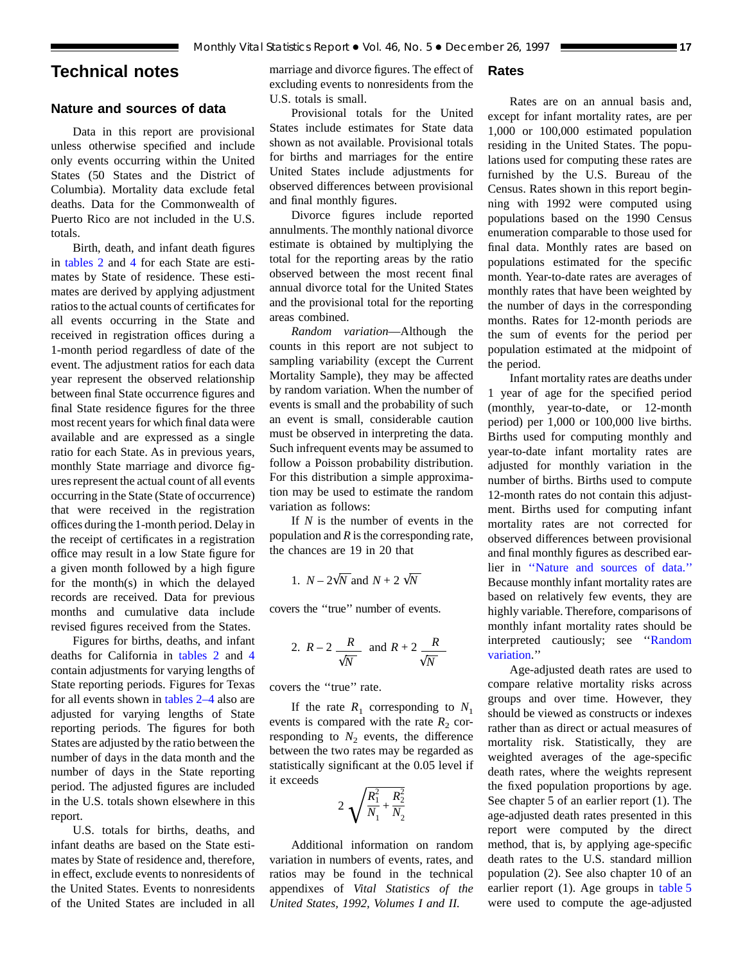# <span id="page-16-0"></span>**Technical notes**

## **Nature and sources of data**

Data in this report are provisional unless otherwise specified and include only events occurring within the United States (50 States and the District of Columbia). Mortality data exclude fetal deaths. Data for the Commonwealth of Puerto Rico are not included in the U.S. totals.

Birth, death, and infant death figures in [tables 2](#page-6-0) and 4 for each State are estimates by Stat[e of](#page-8-0) residence. These estimates are derived by applying adjustment ratios to the actual counts of certificates for all events occurring in the State and received in registration offices during a 1-month period regardless of date of the event. The adjustment ratios for each data year represent the observed relationship between final State occurrence figures and final State residence figures for the three most recent years for which final data were available and are expressed as a single ratio for each State. As in previous years, monthly State marriage and divorce figures represent the actual count of all events occurring in the State (State of occurrence) that were received in the registration offices during the 1-month period. Delay in the receipt of certificates in a registration office may result in a low State figure for a given month followed by a high figure for the month(s) in which the delayed records are received. Data for previous months and cumulative data include revised figures received from the States.

Figures for births, [deaths, and](#page-6-0) in[fant](#page-8-0) deaths for California in tables 2 and 4 contain adjustments for varying lengths of State reporting period[s. Figures for](#page-6-0) Texas for all events shown in tables 2–4 also are adjusted for varying lengths of State reporting periods. The figures for both States are adjusted by the ratio between the number of days in the data month and the number of days in the State reporting period. The adjusted figures are included in the U.S. totals shown elsewhere in this report.

U.S. totals for births, deaths, and infant deaths are based on the State estimates by State of residence and, therefore, in effect, exclude events to nonresidents of the United States. Events to nonresidents of the United States are included in all

marriage and divorce figures. The effect of excluding events to nonresidents from the U.S. totals is small.

# Provisional totals for the United States include estimates for State data shown as not available. Provisional totals for births and marriages for the entire United States include adjustments for observed differences between provisional and final monthly figures.

Divorce figures include reported annulments. The monthly national divorce estimate is obtained by multiplying the total for the reporting areas by the ratio observed between the most recent final annual divorce total for the United States and the provisional total for the reporting areas combined.

*Random variation*—Although the counts in this report are not subject to sampling variability (except the Current Mortality Sample), they may be affected by random variation. When the number of events is small and the probability of such an event is small, considerable caution must be observed in interpreting the data. Such infrequent events may be assumed to follow a Poisson probability distribution. For this distribution a simple approximation may be used to estimate the random variation as follows:

If *N* is the number of events in the population and *R* is the corresponding rate, the chances are 19 in 20 that

1. 
$$
N - 2\sqrt{N}
$$
 and  $N + 2\sqrt{N}$ 

covers the ''true'' number of events.

2. 
$$
R-2
$$
  $\frac{R}{\sqrt{N}}$  and  $R+2$   $\frac{R}{\sqrt{N}}$ 

covers the ''true'' rate.

If the rate  $R_1$  corresponding to  $N_1$ events is compared with the rate  $R_2$  corresponding to  $N_2$  events, the difference between the two rates may be regarded as statistically significant at the 0.05 level if it exceeds

$$
2\sqrt{\frac{R_1^2}{N_1} + \frac{R_2^2}{N_2}}
$$

Additional information on random variation in numbers of events, rates, and ratios may be found in the technical appendixes of *Vital Statistics of the United States, 1992, Volumes I and II.*

## **Rates**

Rates are on an annual basis and, except for infant mortality rates, are per 1,000 or 100,000 estimated population residing in the United States. The populations used for computing these rates are furnished by the U.S. Bureau of the Census. Rates shown in this report beginning with 1992 were computed using populations based on the 1990 Census enumeration comparable to those used for final data. Monthly rates are based on populations estimated for the specific month. Year-to-date rates are averages of monthly rates that have been weighted by the number of days in the corresponding months. Rates for 12-month periods are the sum of events for the period per population estimated at the midpoint of the period.

Infant mortality rates are deaths under 1 year of age for the specified period (monthly, year-to-date, or 12-month period) per 1,000 or 100,000 live births. Births used for computing monthly and year-to-date infant mortality rates are adjusted for monthly variation in the number of births. Births used to compute 12-month rates do not contain this adjustment. Births used for computing infant mortality rates are not corrected for observed differences between provisional and final monthly figures as described earlier in ''Nature and sources of data.'' Because monthly infant mortality rates are based on relatively few events, they are highly variable. Therefore, comparisons of monthly infant mortality rates should be interpreted cautiously; see ''Random variation.''

Age-adjusted death rates are used to compare relative mortality risks across groups and over time. However, they should be viewed as constructs or indexes rather than as direct or actual measures of mortality risk. Statistically, they are weighted averages of the age-specific death rates, where the weights represent the fixed population proportions by age. See chapter 5 of an earlier report (1). The age-adjusted death rates presented in this report were computed by the direct method, that is, by applying age-specific death rates to the U.S. standard million population (2). See also chapter 10 of an earlier report (1). Age groups in [table 5](#page-11-0) were used to compute the age-adjusted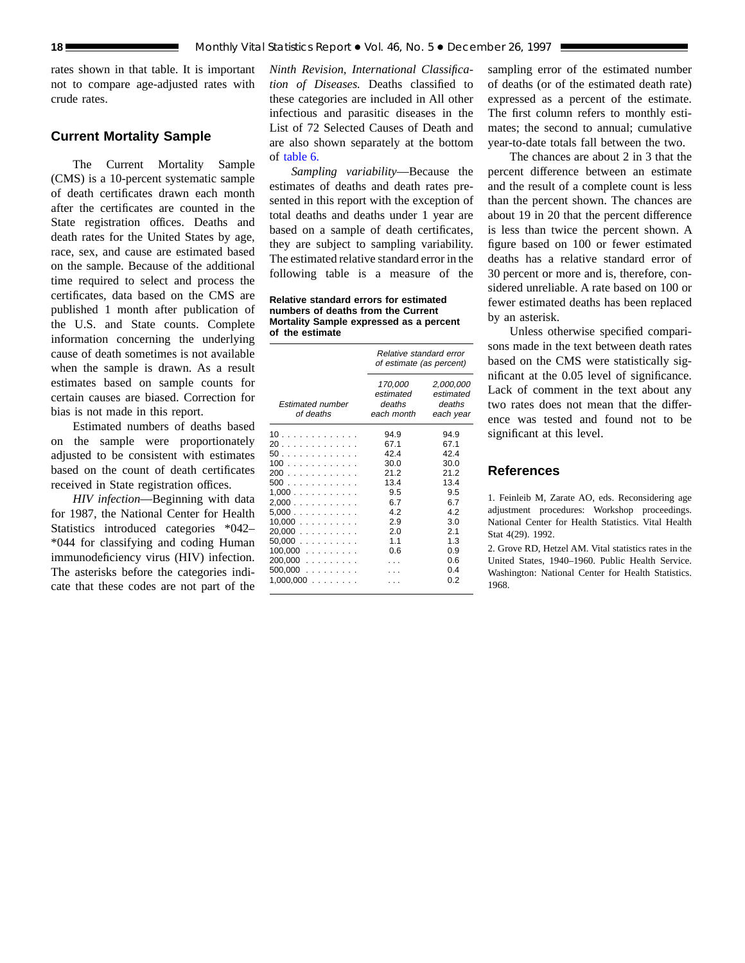rates shown in that table. It is important not to compare age-adjusted rates with crude rates.

## **Current Mortality Sample**

The Current Mortality Sample (CMS) is a 10-percent systematic sample of death certificates drawn each month after the certificates are counted in the State registration offices. Deaths and death rates for the United States by age, race, sex, and cause are estimated based on the sample. Because of the additional time required to select and process the certificates, data based on the CMS are published 1 month after publication of the U.S. and State counts. Complete information concerning the underlying cause of death sometimes is not available when the sample is drawn. As a result estimates based on sample counts for certain causes are biased. Correction for bias is not made in this report.

Estimated numbers of deaths based on the sample were proportionately adjusted to be consistent with estimates based on the count of death certificates received in State registration offices.

*HIV infection*—Beginning with data for 1987, the National Center for Health Statistics introduced categories \*042– \*044 for classifying and coding Human immunodeficiency virus (HIV) infection. The asterisks before the categories indicate that these codes are not part of the

*Ninth Revision, International Classification of Diseases.* Deaths classified to these categories are included in All other infectious and parasitic diseases in the List of 72 Selected Causes of Death and are also shown separately at the bottom of [table 6.](#page-12-0)

*Sampling variability*—Because the estimates of deaths and death rates presented in this report with the exception of total deaths and deaths under 1 year are based on a sample of death certificates, they are subject to sampling variability. The estimated relative standard error in the following table is a measure of the

**Relative standard errors for estimated numbers of deaths from the Current Mortality Sample expressed as a percent of the estimate**

|                                                                                                               | Relative standard error<br>of estimate (as percent)                                           |                                                                                               |  |  |  |
|---------------------------------------------------------------------------------------------------------------|-----------------------------------------------------------------------------------------------|-----------------------------------------------------------------------------------------------|--|--|--|
| <b>Estimated number</b><br>of deaths                                                                          | 170,000<br>estimated<br>deaths<br>each month                                                  | 2,000,000<br>estimated<br>deaths<br>each year                                                 |  |  |  |
| 10<br>20<br>50<br>100<br>200<br>500<br>1,000<br>2,000<br>5,000<br>$10,000$<br>20.000<br>$50,000$<br>$100,000$ | 94.9<br>67.1<br>42.4<br>30.0<br>21.2<br>13.4<br>9.5<br>6.7<br>4.2<br>2.9<br>2.0<br>1.1<br>0.6 | 94.9<br>67.1<br>42.4<br>30.0<br>21.2<br>13.4<br>9.5<br>6.7<br>4.2<br>3.0<br>2.1<br>1.3<br>0.9 |  |  |  |
| 200,000<br>$500,000$<br>$1,000,000$                                                                           | $\cdots$                                                                                      | 0.6<br>0.4<br>0.2                                                                             |  |  |  |

sampling error of the estimated number of deaths (or of the estimated death rate) expressed as a percent of the estimate. The first column refers to monthly estimates; the second to annual; cumulative year-to-date totals fall between the two.

The chances are about 2 in 3 that the percent difference between an estimate and the result of a complete count is less than the percent shown. The chances are about 19 in 20 that the percent difference is less than twice the percent shown. A figure based on 100 or fewer estimated deaths has a relative standard error of 30 percent or more and is, therefore, considered unreliable. A rate based on 100 or fewer estimated deaths has been replaced by an asterisk.

Unless otherwise specified comparisons made in the text between death rates based on the CMS were statistically significant at the 0.05 level of significance. Lack of comment in the text about any two rates does not mean that the difference was tested and found not to be significant at this level.

## **References**

1. Feinleib M, Zarate AO, eds. Reconsidering age adjustment procedures: Workshop proceedings. National Center for Health Statistics. Vital Health Stat 4(29). 1992.

2. Grove RD, Hetzel AM. Vital statistics rates in the United States, 1940–1960. Public Health Service. Washington: National Center for Health Statistics. 1968.